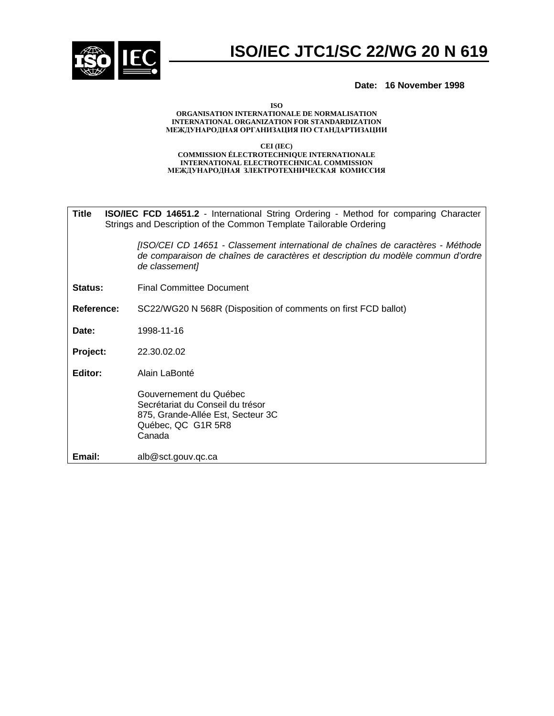

### **Date: 16 November 1998**

**ISO**

### **ORGANISATION INTERNATIONALE DE NORMALISATION INTERNATIONAL ORGANIZATION FOR STANDARDIZATION** МЕЖДУНАРОДНАЯ ОРГАНИЗАЦИЯ ПО СТАНДАРТИЗАЦИИ

### **CEI (IEC) COMMISSION ÉLECTROTECHNIQUE INTERNATIONALE INTERNATIONAL ELECTROTECHNICAL COMMISSION** МЕЖДУНАРОДНАЯ ЗЛЕКТРОТЕХНИЧЕСКАЯ КОМИССИЯ

| Title      | <b>ISO/IEC FCD 14651.2</b> - International String Ordering - Method for comparing Character<br>Strings and Description of the Common Template Tailorable Ordering                    |  |  |
|------------|--------------------------------------------------------------------------------------------------------------------------------------------------------------------------------------|--|--|
|            | [ISO/CEI CD 14651 - Classement international de chaînes de caractères - Méthode<br>de comparaison de chaînes de caractères et description du modèle commun d'ordre<br>de classement] |  |  |
| Status:    | <b>Final Committee Document</b>                                                                                                                                                      |  |  |
| Reference: | SC22/WG20 N 568R (Disposition of comments on first FCD ballot)                                                                                                                       |  |  |
| Date:      | 1998-11-16                                                                                                                                                                           |  |  |
| Project:   | 22,30,02,02                                                                                                                                                                          |  |  |
| Editor:    | Alain LaBonté                                                                                                                                                                        |  |  |
|            | Gouvernement du Québec<br>Secrétariat du Conseil du trésor<br>875, Grande-Allée Est, Secteur 3C<br>Québec, QC G1R 5R8<br>Canada                                                      |  |  |
| Email:     | alb@sct.gouv.qc.ca                                                                                                                                                                   |  |  |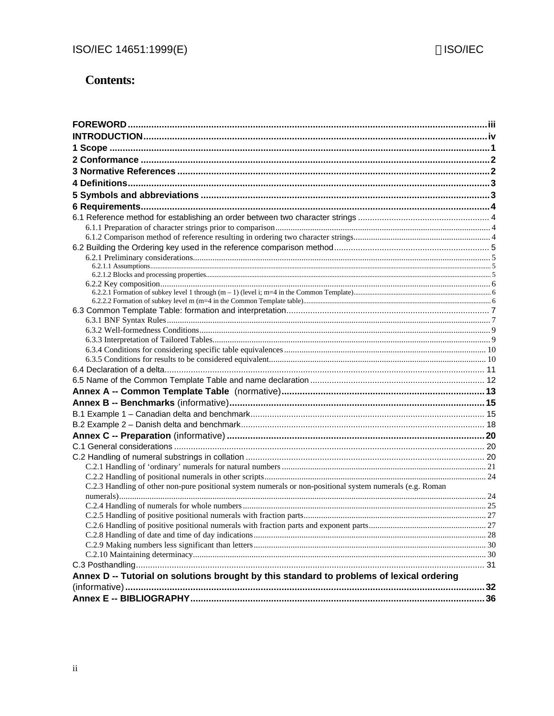# **Contents:**

| C.2.3 Handling of other non-pure positional system numerals or non-positional system numerals (e.g. Roman |  |
|-----------------------------------------------------------------------------------------------------------|--|
|                                                                                                           |  |
|                                                                                                           |  |
|                                                                                                           |  |
|                                                                                                           |  |
|                                                                                                           |  |
|                                                                                                           |  |
|                                                                                                           |  |
| Annex D -- Tutorial on solutions brought by this standard to problems of lexical ordering                 |  |
|                                                                                                           |  |
|                                                                                                           |  |
|                                                                                                           |  |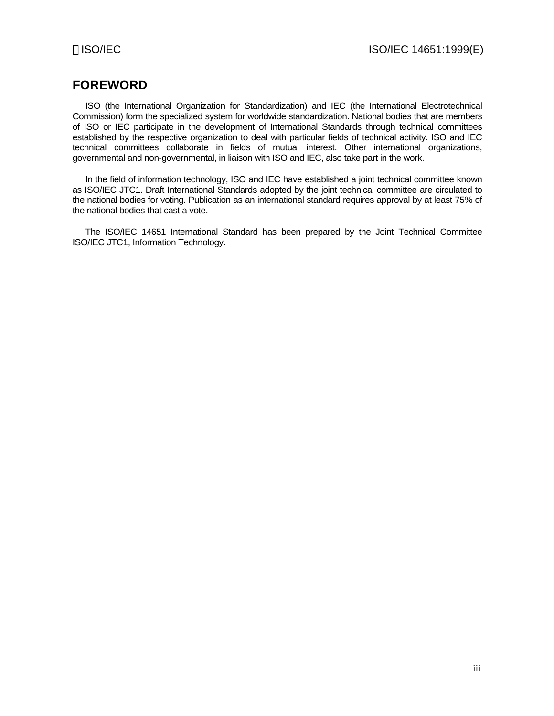# **FOREWORD**

ISO (the International Organization for Standardization) and IEC (the International Electrotechnical Commission) form the specialized system for worldwide standardization. National bodies that are members of ISO or IEC participate in the development of International Standards through technical committees established by the respective organization to deal with particular fields of technical activity. ISO and IEC technical committees collaborate in fields of mutual interest. Other international organizations, governmental and non-governmental, in liaison with ISO and IEC, also take part in the work.

In the field of information technology, ISO and IEC have established a joint technical committee known as ISO/IEC JTC1. Draft International Standards adopted by the joint technical committee are circulated to the national bodies for voting. Publication as an international standard requires approval by at least 75% of the national bodies that cast a vote.

The ISO/IEC 14651 International Standard has been prepared by the Joint Technical Committee ISO/IEC JTC1, Information Technology.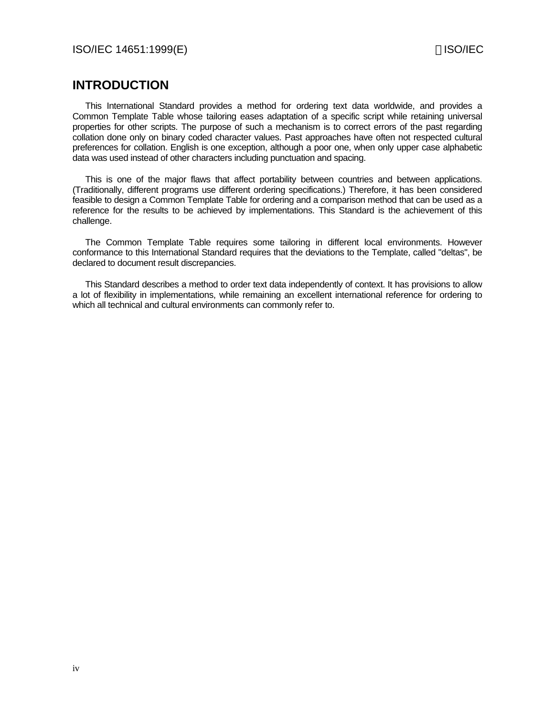# **INTRODUCTION**

This International Standard provides a method for ordering text data worldwide, and provides a Common Template Table whose tailoring eases adaptation of a specific script while retaining universal properties for other scripts. The purpose of such a mechanism is to correct errors of the past regarding collation done only on binary coded character values. Past approaches have often not respected cultural preferences for collation. English is one exception, although a poor one, when only upper case alphabetic data was used instead of other characters including punctuation and spacing.

This is one of the major flaws that affect portability between countries and between applications. (Traditionally, different programs use different ordering specifications.) Therefore, it has been considered feasible to design a Common Template Table for ordering and a comparison method that can be used as a reference for the results to be achieved by implementations. This Standard is the achievement of this challenge.

The Common Template Table requires some tailoring in different local environments. However conformance to this International Standard requires that the deviations to the Template, called "deltas", be declared to document result discrepancies.

This Standard describes a method to order text data independently of context. It has provisions to allow a lot of flexibility in implementations, while remaining an excellent international reference for ordering to which all technical and cultural environments can commonly refer to.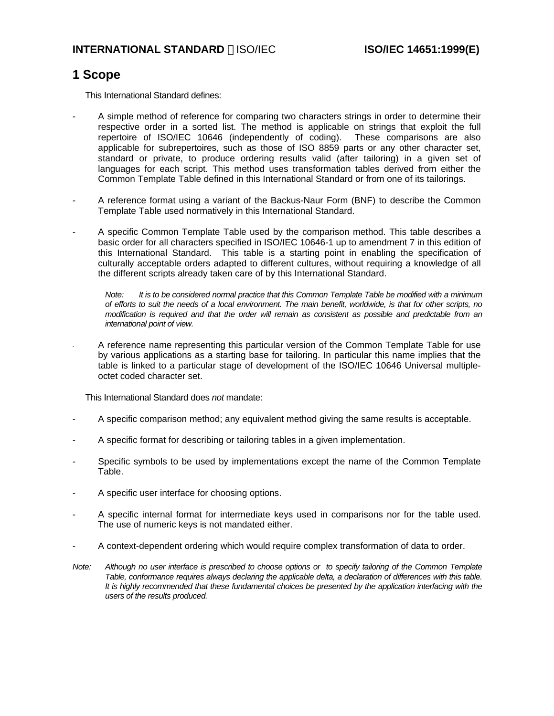# **1 Scope**

This International Standard defines:

- A simple method of reference for comparing two characters strings in order to determine their respective order in a sorted list. The method is applicable on strings that exploit the full repertoire of ISO/IEC 10646 (independently of coding). These comparisons are also applicable for subrepertoires, such as those of ISO 8859 parts or any other character set, standard or private, to produce ordering results valid (after tailoring) in a given set of languages for each script. This method uses transformation tables derived from either the Common Template Table defined in this International Standard or from one of its tailorings.
- A reference format using a variant of the Backus-Naur Form (BNF) to describe the Common Template Table used normatively in this International Standard.
- A specific Common Template Table used by the comparison method. This table describes a basic order for all characters specified in ISO/IEC 10646-1 up to amendment 7 in this edition of this International Standard. This table is a starting point in enabling the specification of culturally acceptable orders adapted to different cultures, without requiring a knowledge of all the different scripts already taken care of by this International Standard.

*Note: It is to be considered normal practice that this Common Template Table be modified with a minimum of efforts to suit the needs of a local environment. The main benefit, worldwide, is that for other scripts, no modification is required and that the order will remain as consistent as possible and predictable from an international point of view.*

A reference name representing this particular version of the Common Template Table for use by various applications as a starting base for tailoring. In particular this name implies that the table is linked to a particular stage of development of the ISO/IEC 10646 Universal multipleoctet coded character set.

This International Standard does *not* mandate:

- A specific comparison method; any equivalent method giving the same results is acceptable.
- A specific format for describing or tailoring tables in a given implementation.
- Specific symbols to be used by implementations except the name of the Common Template Table.
- A specific user interface for choosing options.
- A specific internal format for intermediate keys used in comparisons nor for the table used. The use of numeric keys is not mandated either.
- A context-dependent ordering which would require complex transformation of data to order.
- *Note: Although no user interface is prescribed to choose options or to specify tailoring of the Common Template Table, conformance requires always declaring the applicable delta, a declaration of differences with this table. It is highly recommended that these fundamental choices be presented by the application interfacing with the users of the results produced.*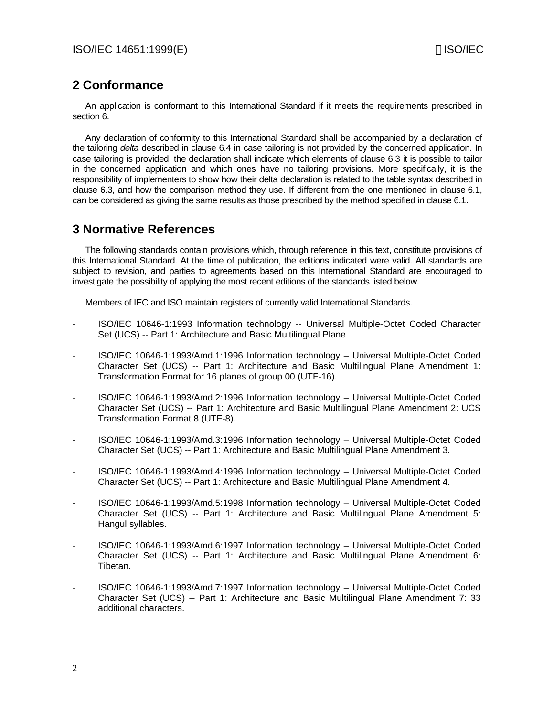# **2 Conformance**

An application is conformant to this International Standard if it meets the requirements prescribed in section 6.

Any declaration of conformity to this International Standard shall be accompanied by a declaration of the tailoring *delta* described in clause 6.4 in case tailoring is not provided by the concerned application. In case tailoring is provided, the declaration shall indicate which elements of clause 6.3 it is possible to tailor in the concerned application and which ones have no tailoring provisions. More specifically, it is the responsibility of implementers to show how their delta declaration is related to the table syntax described in clause 6.3, and how the comparison method they use. If different from the one mentioned in clause 6.1, can be considered as giving the same results as those prescribed by the method specified in clause 6.1.

# **3 Normative References**

The following standards contain provisions which, through reference in this text, constitute provisions of this International Standard. At the time of publication, the editions indicated were valid. All standards are subject to revision, and parties to agreements based on this International Standard are encouraged to investigate the possibility of applying the most recent editions of the standards listed below.

Members of IEC and ISO maintain registers of currently valid International Standards.

- ISO/IEC 10646-1:1993 Information technology -- Universal Multiple-Octet Coded Character Set (UCS) -- Part 1: Architecture and Basic Multilingual Plane
- ISO/IEC 10646-1:1993/Amd.1:1996 Information technology Universal Multiple-Octet Coded Character Set (UCS) -- Part 1: Architecture and Basic Multilingual Plane Amendment 1: Transformation Format for 16 planes of group 00 (UTF-16).
- ISO/IEC 10646-1:1993/Amd.2:1996 Information technology Universal Multiple-Octet Coded Character Set (UCS) -- Part 1: Architecture and Basic Multilingual Plane Amendment 2: UCS Transformation Format 8 (UTF-8).
- ISO/IEC 10646-1:1993/Amd.3:1996 Information technology Universal Multiple-Octet Coded Character Set (UCS) -- Part 1: Architecture and Basic Multilingual Plane Amendment 3.
- ISO/IEC 10646-1:1993/Amd.4:1996 Information technology Universal Multiple-Octet Coded Character Set (UCS) -- Part 1: Architecture and Basic Multilingual Plane Amendment 4.
- ISO/IEC 10646-1:1993/Amd.5:1998 Information technology Universal Multiple-Octet Coded Character Set (UCS) -- Part 1: Architecture and Basic Multilingual Plane Amendment 5: Hangul syllables.
- ISO/IEC 10646-1:1993/Amd.6:1997 Information technology Universal Multiple-Octet Coded Character Set (UCS) -- Part 1: Architecture and Basic Multilingual Plane Amendment 6: Tibetan.
- ISO/IEC 10646-1:1993/Amd.7:1997 Information technology Universal Multiple-Octet Coded Character Set (UCS) -- Part 1: Architecture and Basic Multilingual Plane Amendment 7: 33 additional characters.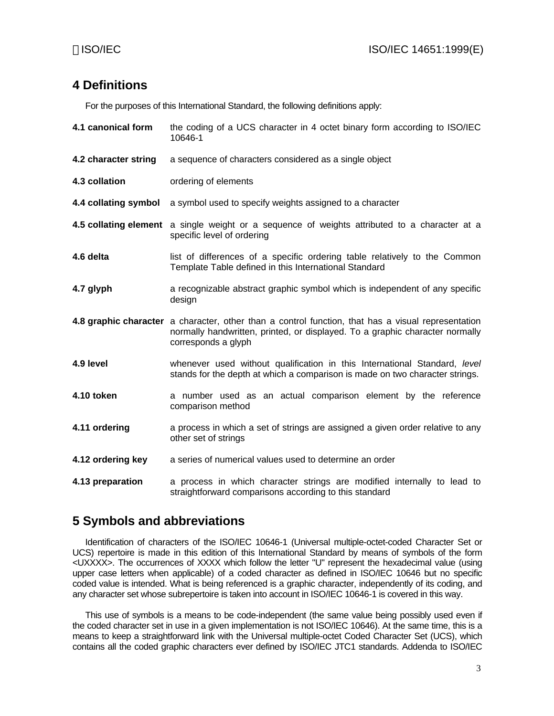# **4 Definitions**

For the purposes of this International Standard, the following definitions apply:

**4.1 canonical form** the coding of a UCS character in 4 octet binary form according to ISO/IEC 10646-1 **4.2 character string** a sequence of characters considered as a single object **4.3 collation** ordering of elements **4.4 collating symbol** a symbol used to specify weights assigned to a character **4.5 collating element** a single weight or a sequence of weights attributed to a character at a specific level of ordering **4.6 delta** list of differences of a specific ordering table relatively to the Common Template Table defined in this International Standard **4.7 glyph** a recognizable abstract graphic symbol which is independent of any specific design **4.8 graphic character** a character, other than a control function, that has a visual representation normally handwritten, printed, or displayed. To a graphic character normally corresponds a glyph **4.9 level** whenever used without qualification in this International Standard, *level* stands for the depth at which a comparison is made on two character strings. **4.10 token** a number used as an actual comparison element by the reference comparison method **4.11 ordering** a process in which a set of strings are assigned a given order relative to any other set of strings **4.12 ordering key** a series of numerical values used to determine an order **4.13 preparation** a process in which character strings are modified internally to lead to straightforward comparisons according to this standard

# **5 Symbols and abbreviations**

Identification of characters of the ISO/IEC 10646-1 (Universal multiple-octet-coded Character Set or UCS) repertoire is made in this edition of this International Standard by means of symbols of the form <UXXXX>. The occurrences of XXXX which follow the letter "U" represent the hexadecimal value (using upper case letters when applicable) of a coded character as defined in ISO/IEC 10646 but no specific coded value is intended. What is being referenced is a graphic character, independently of its coding, and any character set whose subrepertoire is taken into account in ISO/IEC 10646-1 is covered in this way.

This use of symbols is a means to be code-independent (the same value being possibly used even if the coded character set in use in a given implementation is not ISO/IEC 10646). At the same time, this is a means to keep a straightforward link with the Universal multiple-octet Coded Character Set (UCS), which contains all the coded graphic characters ever defined by ISO/IEC JTC1 standards. Addenda to ISO/IEC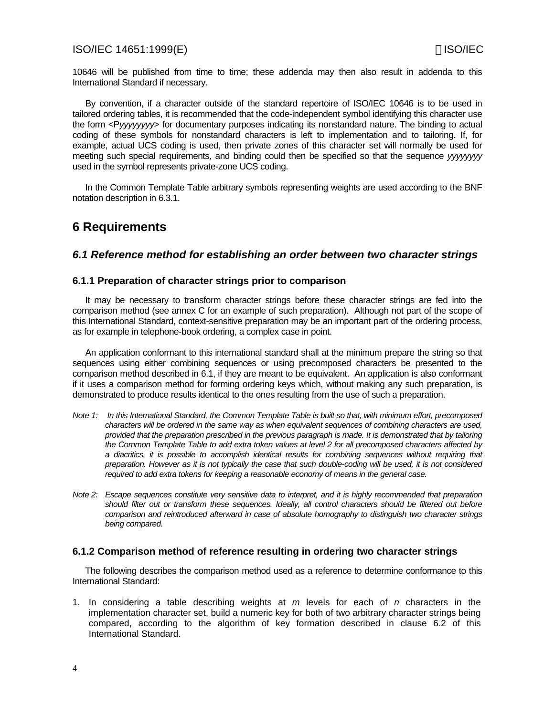10646 will be published from time to time; these addenda may then also result in addenda to this International Standard if necessary.

By convention, if a character outside of the standard repertoire of ISO/IEC 10646 is to be used in tailored ordering tables, it is recommended that the code-independent symbol identifying this character use the form <P*yyyyyyyy*> for documentary purposes indicating its nonstandard nature. The binding to actual coding of these symbols for nonstandard characters is left to implementation and to tailoring. If, for example, actual UCS coding is used, then private zones of this character set will normally be used for meeting such special requirements, and binding could then be specified so that the sequence *yyyyyyyy* used in the symbol represents private-zone UCS coding.

In the Common Template Table arbitrary symbols representing weights are used according to the BNF notation description in 6.3.1.

# **6 Requirements**

### *6.1 Reference method for establishing an order between two character strings*

### **6.1.1 Preparation of character strings prior to comparison**

It may be necessary to transform character strings before these character strings are fed into the comparison method (see annex C for an example of such preparation). Although not part of the scope of this International Standard, context-sensitive preparation may be an important part of the ordering process, as for example in telephone-book ordering, a complex case in point.

An application conformant to this international standard shall at the minimum prepare the string so that sequences using either combining sequences or using precomposed characters be presented to the comparison method described in 6.1, if they are meant to be equivalent. An application is also conformant if it uses a comparison method for forming ordering keys which, without making any such preparation, is demonstrated to produce results identical to the ones resulting from the use of such a preparation.

- *Note 1: In this International Standard, the Common Template Table is built so that, with minimum effort, precomposed characters will be ordered in the same way as when equivalent sequences of combining characters are used, provided that the preparation prescribed in the previous paragraph is made. It is demonstrated that by tailoring the Common Template Table to add extra token values at level 2 for all precomposed characters affected by a diacritics, it is possible to accomplish identical results for combining sequences without requiring that preparation. However as it is not typically the case that such double-coding will be used, it is not considered required to add extra tokens for keeping a reasonable economy of means in the general case.*
- *Note 2: Escape sequences constitute very sensitive data to interpret, and it is highly recommended that preparation should filter out or transform these sequences. Ideally, all control characters should be filtered out before comparison and reintroduced afterward in case of absolute homography to distinguish two character strings being compared.*

### **6.1.2 Comparison method of reference resulting in ordering two character strings**

The following describes the comparison method used as a reference to determine conformance to this International Standard:

1. In considering a table describing weights at *m* levels for each of *n* characters in the implementation character set, build a numeric key for both of two arbitrary character strings being compared, according to the algorithm of key formation described in clause 6.2 of this International Standard.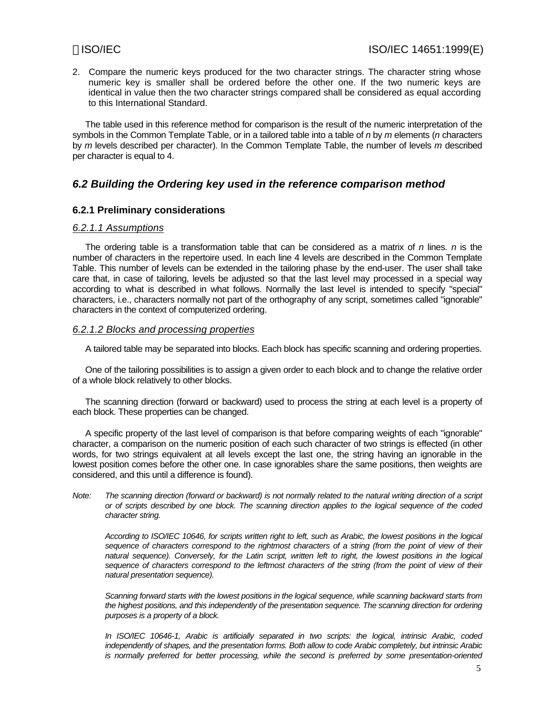2. Compare the numeric keys produced for the two character strings. The character string whose numeric key is smaller shall be ordered before the other one. If the two numeric keys are identical in value then the two character strings compared shall be considered as equal according to this International Standard.

The table used in this reference method for comparison is the result of the numeric interpretation of the symbols in the Common Template Table, or in a tailored table into a table of *n* by *m* elements (*n* characters by *m* levels described per character). In the Common Template Table, the number of levels *m* described per character is equal to 4.

### *6.2 Building the Ordering key used in the reference comparison method*

### **6.2.1 Preliminary considerations**

### *6.2.1.1 Assumptions*

The ordering table is a transformation table that can be considered as a matrix of *n* lines. *n* is the number of characters in the repertoire used. In each line 4 levels are described in the Common Template Table. This number of levels can be extended in the tailoring phase by the end-user. The user shall take care that, in case of tailoring, levels be adjusted so that the last level may processed in a special way according to what is described in what follows. Normally the last level is intended to specify "special" characters, i.e., characters normally not part of the orthography of any script, sometimes called "ignorable" characters in the context of computerized ordering.

### *6.2.1.2 Blocks and processing properties*

A tailored table may be separated into blocks. Each block has specific scanning and ordering properties.

One of the tailoring possibilities is to assign a given order to each block and to change the relative order of a whole block relatively to other blocks.

The scanning direction (forward or backward) used to process the string at each level is a property of each block. These properties can be changed.

A specific property of the last level of comparison is that before comparing weights of each "ignorable" character, a comparison on the numeric position of each such character of two strings is effected (in other words, for two strings equivalent at all levels except the last one, the string having an ignorable in the lowest position comes before the other one. In case ignorables share the same positions, then weights are considered, and this until a difference is found).

*Note: The scanning direction (forward or backward) is not normally related to the natural writing direction of a script or of scripts described by one block. The scanning direction applies to the logical sequence of the coded character string.*

*According to ISO/IEC 10646, for scripts written right to left, such as Arabic, the lowest positions in the logical sequence of characters correspond to the rightmost characters of a string (from the point of view of their natural sequence). Conversely, for the Latin script, written left to right, the lowest positions in the logical sequence of characters correspond to the leftmost characters of the string (from the point of view of their natural presentation sequence).*

*Scanning forward starts with the lowest positions in the logical sequence, while scanning backward starts from the highest positions, and this independently of the presentation sequence. The scanning direction for ordering purposes is a property of a block.*

*In ISO/IEC 10646-1, Arabic is artificially separated in two scripts: the logical, intrinsic Arabic, coded independently of shapes, and the presentation forms. Both allow to code Arabic completely, but intrinsic Arabic is normally preferred for better processing, while the second is preferred by some presentation-oriented*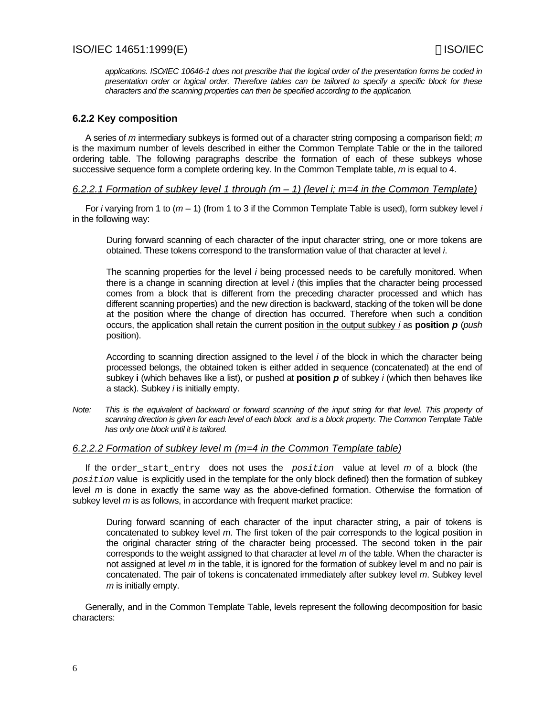*applications. ISO/IEC 10646-1 does not prescribe that the logical order of the presentation forms be coded in presentation order or logical order. Therefore tables can be tailored to specify a specific block for these characters and the scanning properties can then be specified according to the application.*

### **6.2.2 Key composition**

A series of *m* intermediary subkeys is formed out of a character string composing a comparison field; *m* is the maximum number of levels described in either the Common Template Table or the in the tailored ordering table. The following paragraphs describe the formation of each of these subkeys whose successive sequence form a complete ordering key. In the Common Template table, *m* is equal to 4.

### *6.2.2.1 Formation of subkey level 1 through (m – 1) (level i; m=4 in the Common Template)*

For *i* varying from 1 to (*m* – 1) (from 1 to 3 if the Common Template Table is used), form subkey level *i* in the following way:

During forward scanning of each character of the input character string, one or more tokens are obtained. These tokens correspond to the transformation value of that character at level *i*.

The scanning properties for the level *i* being processed needs to be carefully monitored. When there is a change in scanning direction at level *i* (this implies that the character being processed comes from a block that is different from the preceding character processed and which has different scanning properties) and the new direction is backward, stacking of the token will be done at the position where the change of direction has occurred. Therefore when such a condition occurs, the application shall retain the current position in the output subkey *i* as **position** *p* (*push* position).

According to scanning direction assigned to the level *i* of the block in which the character being processed belongs, the obtained token is either added in sequence (concatenated) at the end of subkey **i** (which behaves like a list), or pushed at **position** *p* of subkey *i* (which then behaves like a stack). Subkey *i* is initially empty.

*Note: This is the equivalent of backward or forward scanning of the input string for that level. This property of scanning direction is given for each level of each block and is a block property. The Common Template Table has only one block until it is tailored.*

### *6.2.2.2 Formation of subkey level m (m=4 in the Common Template table)*

If the order\_start\_entry does not uses the *position* value at level *m* of a block (the *position* value is explicitly used in the template for the only block defined) then the formation of subkey level *m* is done in exactly the same way as the above-defined formation. Otherwise the formation of subkey level *m* is as follows, in accordance with frequent market practice:

During forward scanning of each character of the input character string, a pair of tokens is concatenated to subkey level *m*. The first token of the pair corresponds to the logical position in the original character string of the character being processed. The second token in the pair corresponds to the weight assigned to that character at level *m* of the table. When the character is not assigned at level *m* in the table, it is ignored for the formation of subkey level m and no pair is concatenated. The pair of tokens is concatenated immediately after subkey level *m*. Subkey level *m* is initially empty.

Generally, and in the Common Template Table, levels represent the following decomposition for basic characters: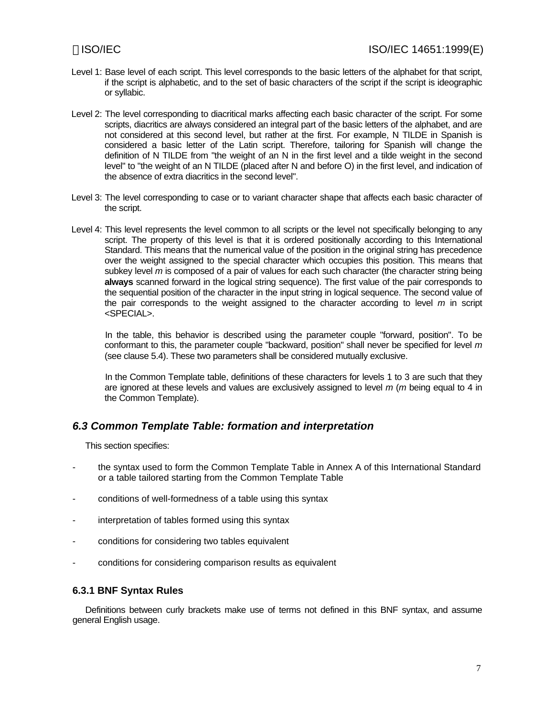- Level 1: Base level of each script. This level corresponds to the basic letters of the alphabet for that script, if the script is alphabetic, and to the set of basic characters of the script if the script is ideographic or syllabic.
- Level 2: The level corresponding to diacritical marks affecting each basic character of the script. For some scripts, diacritics are always considered an integral part of the basic letters of the alphabet, and are not considered at this second level, but rather at the first. For example, N TILDE in Spanish is considered a basic letter of the Latin script. Therefore, tailoring for Spanish will change the definition of N TILDE from "the weight of an N in the first level and a tilde weight in the second level" to "the weight of an N TILDE (placed after N and before O) in the first level, and indication of the absence of extra diacritics in the second level".
- Level 3: The level corresponding to case or to variant character shape that affects each basic character of the script.
- Level 4: This level represents the level common to all scripts or the level not specifically belonging to any script. The property of this level is that it is ordered positionally according to this International Standard. This means that the numerical value of the position in the original string has precedence over the weight assigned to the special character which occupies this position. This means that subkey level *m* is composed of a pair of values for each such character (the character string being **always** scanned forward in the logical string sequence). The first value of the pair corresponds to the sequential position of the character in the input string in logical sequence. The second value of the pair corresponds to the weight assigned to the character according to level *m* in script <SPECIAL>.

 In the table, this behavior is described using the parameter couple "forward, position". To be conformant to this, the parameter couple "backward, position" shall never be specified for level *m* (see clause 5.4). These two parameters shall be considered mutually exclusive.

 In the Common Template table, definitions of these characters for levels 1 to 3 are such that they are ignored at these levels and values are exclusively assigned to level *m* (*m* being equal to 4 in the Common Template).

### *6.3 Common Template Table: formation and interpretation*

This section specifies:

- the syntax used to form the Common Template Table in Annex A of this International Standard or a table tailored starting from the Common Template Table
- conditions of well-formedness of a table using this syntax
- interpretation of tables formed using this syntax
- conditions for considering two tables equivalent
- conditions for considering comparison results as equivalent

### **6.3.1 BNF Syntax Rules**

Definitions between curly brackets make use of terms not defined in this BNF syntax, and assume general English usage.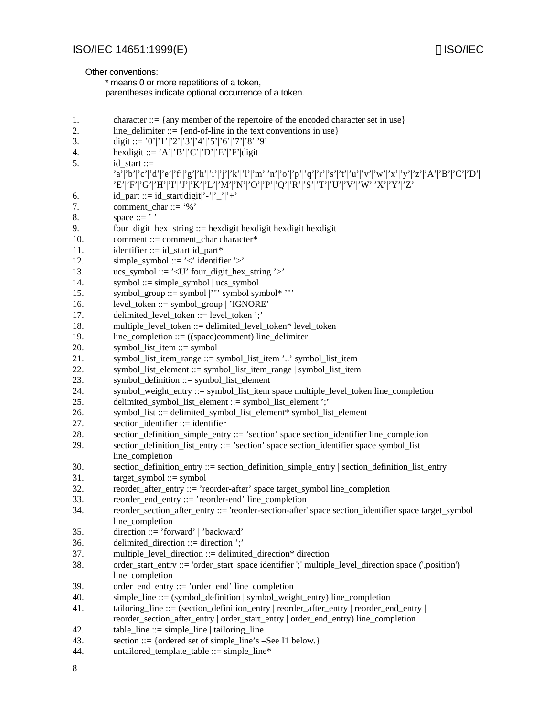Other conventions:

\* means 0 or more repetitions of a token,

parentheses indicate optional occurrence of a token.

| 1.  | character ::= {any member of the repertoire of the encoded character set in use}                                                                                                                               |
|-----|----------------------------------------------------------------------------------------------------------------------------------------------------------------------------------------------------------------|
| 2.  | line_delimiter ::= {end-of-line in the text conventions in use}                                                                                                                                                |
| 3.  | digit ::= '0' '1' '2' '3' '4' '5' '6' '7' '8' '9'                                                                                                                                                              |
| 4.  | hexdigit ::= 'A' 'B' 'C' 'D' 'E' 'F' digit                                                                                                                                                                     |
| 5.  | $id\_start ::=$                                                                                                                                                                                                |
|     | 'a' 'b' 'c' 'd' 'e' 'f' 'g' 'h' 'i' 'j' 'k' 'l' 'm' 'n' 'o' 'p' 'q' 'r' 's' 't' 'u' 'v' 'w' 'x' 'y' 'z' 'A' 'B' 'C' 'D' <br>'E' 'F' 'G' 'H' 'I' 'X' 'Z' 'M' 'N' 'O' 'P' 'Q' 'R' 'S' 'T' 'U' 'V' 'W' 'X' 'Y' 'Z |
| 6.  | $id$ part ::= $id$ _start digit '-' '_' '+'                                                                                                                                                                    |
| 7.  | comment char::= '%'                                                                                                                                                                                            |
| 8.  | space $::=$ ''                                                                                                                                                                                                 |
| 9.  | four_digit_hex_string ::= hexdigit hexdigit hexdigit hexdigit                                                                                                                                                  |
| 10. | comment ::= comment_char character*                                                                                                                                                                            |
| 11. | identifier ::= id_start id_part*                                                                                                                                                                               |
| 12. | simple_symbol ::= '<' identifier '>'                                                                                                                                                                           |
| 13. | $ucs_s$ ymbol ::= '< $U$ ' four_digit_hex_string '>'                                                                                                                                                           |
| 14. | symbol ::= simple_symbol $ $ ucs_symbol                                                                                                                                                                        |
| 15. | symbol_group ::= symbol  '"' symbol symbol* '"'                                                                                                                                                                |
| 16. | $level\_token ::= symbol\_group   'IGNORE'$                                                                                                                                                                    |
| 17. | delimited_level_token ::= level_token ';'                                                                                                                                                                      |
| 18. | multiple_level_token ::= delimited_level_token* level_token                                                                                                                                                    |
| 19. | line_completion ::= $((space)$ comment) line_delimiter                                                                                                                                                         |
| 20. | symbol_list_item ::= symbol                                                                                                                                                                                    |
| 21. | symbol_list_item_range ::= symbol_list_item '' symbol_list_item                                                                                                                                                |
| 22. | symbol_list_element ::= symbol_list_item_range   symbol_list_item                                                                                                                                              |
| 23. | symbol_definition ::= symbol_list_element                                                                                                                                                                      |
| 24. | symbol_weight_entry ::= symbol_list_item space multiple_level_token line_completion                                                                                                                            |
| 25. | delimited_symbol_list_element ::= symbol_list_element ';'                                                                                                                                                      |
| 26. | symbol_list ::= delimited_symbol_list_element* symbol_list_element                                                                                                                                             |
| 27. | section_identifier ::= identifier                                                                                                                                                                              |
| 28. | section_definition_simple_entry ::= 'section' space section_identifier line_completion                                                                                                                         |
| 29. | section_definition_list_entry ::= 'section' space section_identifier space symbol_list<br>line_completion                                                                                                      |
| 30. | section_definition_entry ::= section_definition_simple_entry   section_definition_list_entry                                                                                                                   |
| 31. | $target$ _symbol ::= symbol                                                                                                                                                                                    |
| 32. | reorder_after_entry ::= 'reorder-after' space target_symbol line_completion                                                                                                                                    |
| 33. | reorder_end_entry ::= 'reorder-end' line_completion                                                                                                                                                            |
| 34. | reorder_section_after_entry ::= 'reorder-section-after' space section_identifier space target_symbol                                                                                                           |
|     | line_completion                                                                                                                                                                                                |
| 35. | direction ::= 'forward'   'backward'                                                                                                                                                                           |
| 36. | delimited_direction ::= direction ';'                                                                                                                                                                          |
| 37. | multiple_level_direction ::= delimited_direction* direction                                                                                                                                                    |
| 38. | order_start_entry ::= 'order_start' space identifier ';' multiple_level_direction space (',position')<br>line_completion                                                                                       |
| 39. | order_end_entry ::= 'order_end' line_completion                                                                                                                                                                |
| 40. | $simple$ line ::= (symbol_definition   symbol_weight_entry) line_completion                                                                                                                                    |
| 41. | tailoring_line ::= (section_definition_entry   reorder_after_entry   reorder_end_entry                                                                                                                         |
|     | reorder_section_after_entry   order_start_entry   order_end_entry) line_completion                                                                                                                             |
| 42. | $table_{\text{line}} ::= simple_{\text{line}} \mid tailoring_{\text{line}}$                                                                                                                                    |
| 43. | section ::= {ordered set of simple_line's -See I1 below.}                                                                                                                                                      |
| 44. | untailored_template_table ::= simple_line*                                                                                                                                                                     |
|     |                                                                                                                                                                                                                |

8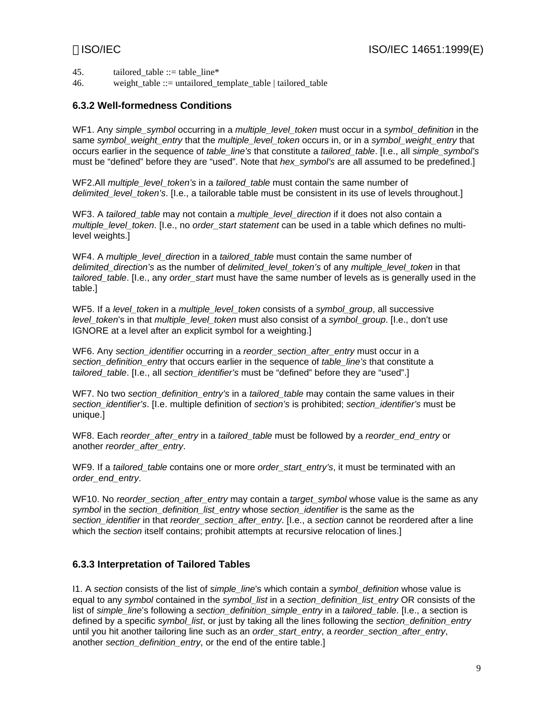45. tailored table  $::=$  table line\*

46. weight table  $::=$  untailored template table | tailored table

### **6.3.2 Well-formedness Conditions**

WF1. Any *simple\_symbol* occurring in a *multiple\_level\_token* must occur in a *symbol\_definition* in the same *symbol\_weight\_entry* that the *multiple\_level\_token* occurs in, or in a *symbol\_weight\_entry* that occurs earlier in the sequence of *table\_line's* that constitute a *tailored\_table*. [I.e., all *simple\_symbol's* must be "defined" before they are "used". Note that *hex\_symbol's* are all assumed to be predefined.]

WF2.All *multiple\_level\_token's* in a *tailored\_table* must contain the same number of *delimited\_level\_token's.* [I.e., a tailorable table must be consistent in its use of levels throughout.]

WF3. A *tailored table* may not contain a *multiple level direction* if it does not also contain a *multiple\_level\_token*. [I.e., no *order\_start statement* can be used in a table which defines no multilevel weights.]

WF4. A *multiple\_level\_direction* in a *tailored\_table* must contain the same number of *delimited\_direction's* as the number of *delimited\_level\_token's* of any *multiple\_level\_token* in that *tailored\_table*. [I.e., any *order\_start* must have the same number of levels as is generally used in the table.]

WF5. If a *level\_token* in a *multiple\_level\_token* consists of a *symbol\_group*, all successive *level\_token*'s in that *multiple\_level\_token* must also consist of a *symbol\_group*. [I.e., don't use IGNORE at a level after an explicit symbol for a weighting.]

WF6. Any *section\_identifier* occurring in a *reorder\_section\_after\_entry* must occur in a *section\_definition\_entry* that occurs earlier in the sequence of *table\_line's* that constitute a *tailored\_table*. [I.e., all *section\_identifier's* must be "defined" before they are "used".]

WF7. No two *section* definition entry's in a *tailored table* may contain the same values in their *section\_identifier's*. [I.e. multiple definition of *section's* is prohibited; *section\_identifier's* must be unique.]

WF8. Each *reorder\_after\_entry* in a *tailored\_table* must be followed by a *reorder\_end\_entry* or another *reorder\_after\_entry*.

WF9. If a *tailored table* contains one or more *order* start *entry's*, it must be terminated with an *order\_end\_entry*.

WF10. No *reorder* section after entry may contain a *target* symbol whose value is the same as any *symbol* in the *section\_definition\_list\_entry* whose *section\_identifier* is the same as the *section\_identifier* in that *reorder\_section\_after\_entry*. [I.e., a *section* cannot be reordered after a line which the *section* itself contains; prohibit attempts at recursive relocation of lines.]

### **6.3.3 Interpretation of Tailored Tables**

I1. A *section* consists of the list of *simple\_line*'s which contain a *symbol\_definition* whose value is equal to any *symbol* contained in the *symbol\_list* in a *section\_definition\_list\_entry* OR consists of the list of *simple* line's following a *section* definition simple entry in a tailored table. [I.e., a section is defined by a specific *symbol\_list*, or just by taking all the lines following the *section\_definition\_entry* until you hit another tailoring line such as an *order\_start\_entry*, a *reorder\_section\_after\_entry*, another *section* definition entry, or the end of the entire table.]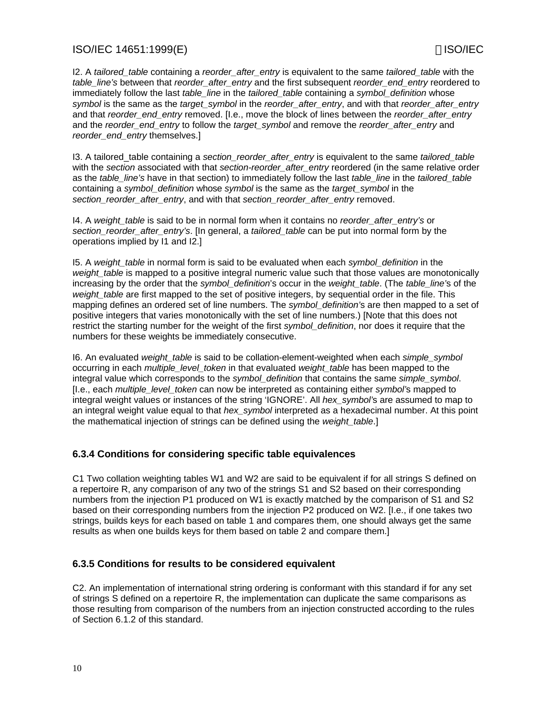I2. A *tailored\_table* containing a *reorder\_after\_entry* is equivalent to the same *tailored\_table* with the *table\_line's* between that *reorder\_after\_entry* and the first subsequent *reorder\_end\_entry* reordered to immediately follow the last *table\_line* in the *tailored\_table* containing a *symbol\_definition* whose *symbol* is the same as the *target\_symbol* in the *reorder\_after\_entry*, and with that *reorder\_after\_entry* and that *reorder\_end\_entry* removed. [I.e., move the block of lines between the *reorder\_after\_entry* and the *reorder\_end\_entry* to follow the *target\_symbol* and remove the *reorder\_after\_entry* and *reorder\_end\_entry* themselves.]

I3. A tailored\_table containing a *section\_reorder\_after\_entry* is equivalent to the same *tailored\_table* with the *section* associated with that *section-reorder\_after\_entry* reordered (in the same relative order as the *table\_line's* have in that section) to immediately follow the last *table\_line* in the *tailored\_table* containing a *symbol\_definition* whose *symbol* is the same as the *target\_symbol* in the *section\_reorder\_after\_entry*, and with that *section\_reorder\_after\_entry* removed.

I4. A *weight\_table* is said to be in normal form when it contains no *reorder\_after\_entry's* or *section\_reorder\_after\_entry's*. [In general, a *tailored\_table* can be put into normal form by the operations implied by I1 and I2.]

I5. A *weight\_table* in normal form is said to be evaluated when each *symbol\_definition* in the *weight\_table* is mapped to a positive integral numeric value such that those values are monotonically increasing by the order that the *symbol\_definition*'s occur in the *weight\_table*. (The *table\_line'*s of the *weight\_table* are first mapped to the set of positive integers, by sequential order in the file. This mapping defines an ordered set of line numbers. The *symbol\_definition'*s are then mapped to a set of positive integers that varies monotonically with the set of line numbers.) [Note that this does not restrict the starting number for the weight of the first *symbol\_definition*, nor does it require that the numbers for these weights be immediately consecutive.

I6. An evaluated *weight\_table* is said to be collation-element-weighted when each *simple\_symbol* occurring in each *multiple\_level\_token* in that evaluated *weight\_table* has been mapped to the integral value which corresponds to the *symbol\_definition* that contains the same *simple\_symbol*. [I.e., each *multiple\_level\_token* can now be interpreted as containing either *symbol'*s mapped to integral weight values or instances of the string 'IGNORE'. All *hex\_symbol'*s are assumed to map to an integral weight value equal to that *hex\_symbol* interpreted as a hexadecimal number. At this point the mathematical injection of strings can be defined using the *weight\_table*.]

### **6.3.4 Conditions for considering specific table equivalences**

C1 Two collation weighting tables W1 and W2 are said to be equivalent if for all strings S defined on a repertoire R, any comparison of any two of the strings S1 and S2 based on their corresponding numbers from the injection P1 produced on W1 is exactly matched by the comparison of S1 and S2 based on their corresponding numbers from the injection P2 produced on W2. [I.e., if one takes two strings, builds keys for each based on table 1 and compares them, one should always get the same results as when one builds keys for them based on table 2 and compare them.]

### **6.3.5 Conditions for results to be considered equivalent**

C2. An implementation of international string ordering is conformant with this standard if for any set of strings S defined on a repertoire R, the implementation can duplicate the same comparisons as those resulting from comparison of the numbers from an injection constructed according to the rules of Section 6.1.2 of this standard.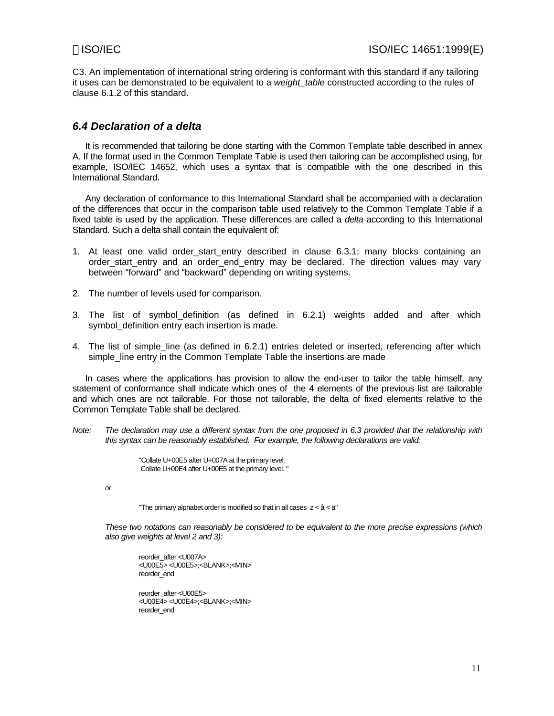C3. An implementation of international string ordering is conformant with this standard if any tailoring it uses can be demonstrated to be equivalent to a *weight\_table* constructed according to the rules of clause 6.1.2 of this standard.

### *6.4 Declaration of a delta*

It is recommended that tailoring be done starting with the Common Template table described in annex A. If the format used in the Common Template Table is used then tailoring can be accomplished using, for example, ISO/IEC 14652, which uses a syntax that is compatible with the one described in this International Standard.

Any declaration of conformance to this International Standard shall be accompanied with a declaration of the differences that occur in the comparison table used relatively to the Common Template Table if a fixed table is used by the application. These differences are called a *delta* according to this International Standard, Such a delta shall contain the equivalent of:

- 1. At least one valid order\_start\_entry described in clause 6.3.1; many blocks containing an order start entry and an order end entry may be declared. The direction values may vary between "forward" and "backward" depending on writing systems.
- 2. The number of levels used for comparison.
- 3. The list of symbol definition (as defined in 6.2.1) weights added and after which symbol definition entry each insertion is made.
- 4. The list of simple\_line (as defined in 6.2.1) entries deleted or inserted, referencing after which simple\_line entry in the Common Template Table the insertions are made

In cases where the applications has provision to allow the end-user to tailor the table himself, any statement of conformance shall indicate which ones of the 4 elements of the previous list are tailorable and which ones are not tailorable. For those not tailorable, the delta of fixed elements relative to the Common Template Table shall be declared.

*Note: The declaration may use a different syntax from the one proposed in 6.3 provided that the relationship with this syntax can be reasonably established. For example, the following declarations are valid:*

> "Collate U+00E5 after U+007A at the primary level. Collate U+00E4 after U+00E5 at the primary level. "

*or*

"The primary alphabet order is modified so that in all cases  $z < \hat{a} < \ddot{a}$ "

*These two notations can reasonably be considered to be equivalent to the more precise expressions (which also give weights at level 2 and 3):*

reorder\_after <U007A> <U00E5> <U00E5>;<BLANK>;<MIN> reorder\_end

reorder\_after <U00E5> <U00E4> <U00E4>;<BLANK>;<MIN> reorder\_end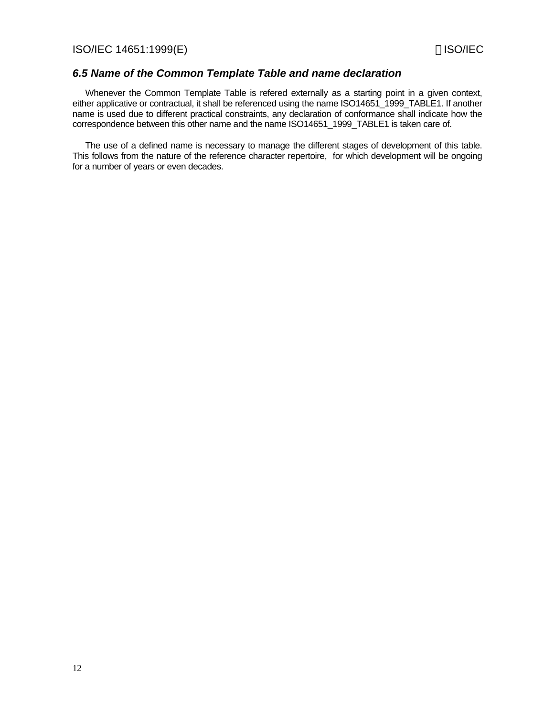### *6.5 Name of the Common Template Table and name declaration*

Whenever the Common Template Table is refered externally as a starting point in a given context, either applicative or contractual, it shall be referenced using the name ISO14651\_1999\_TABLE1. If another name is used due to different practical constraints, any declaration of conformance shall indicate how the correspondence between this other name and the name ISO14651\_1999\_TABLE1 is taken care of.

The use of a defined name is necessary to manage the different stages of development of this table. This follows from the nature of the reference character repertoire, for which development will be ongoing for a number of years or even decades.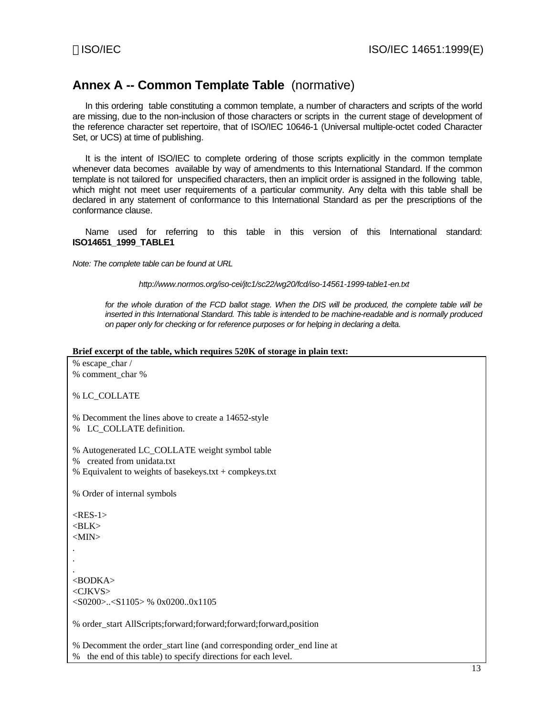# **Annex A -- Common Template Table** (normative)

In this ordering table constituting a common template, a number of characters and scripts of the world are missing, due to the non-inclusion of those characters or scripts in the current stage of development of the reference character set repertoire, that of ISO/IEC 10646-1 (Universal multiple-octet coded Character Set, or UCS) at time of publishing.

It is the intent of ISO/IEC to complete ordering of those scripts explicitly in the common template whenever data becomes available by way of amendments to this International Standard. If the common template is not tailored for unspecified characters, then an implicit order is assigned in the following table, which might not meet user requirements of a particular community. Any delta with this table shall be declared in any statement of conformance to this International Standard as per the prescriptions of the conformance clause.

Name used for referring to this table in this version of this International standard: **ISO14651\_1999\_TABLE1**

*Note: The complete table can be found at URL*

*http://www.normos.org/iso-cei/jtc1/sc22/wg20/fcd/iso-14561-1999-table1-en.txt*

*for the whole duration of the FCD ballot stage. When the DIS will be produced, the complete table will be inserted in this International Standard. This table is intended to be machine-readable and is normally produced on paper only for checking or for reference purposes or for helping in declaring a delta.*

### **Brief excerpt of the table, which requires 520K of storage in plain text:**

% escape\_char / % comment\_char % % LC\_COLLATE % Decomment the lines above to create a 14652-style % LC\_COLLATE definition. % Autogenerated LC\_COLLATE weight symbol table % created from unidata.txt % Equivalent to weights of basekeys.txt + compkeys.txt % Order of internal symbols  $<$ RES-1 $>$  $<$ BLK $>$ <MIN> . . . <BODKA> <CJKVS> <S0200>..<S1105> % 0x0200..0x1105 % order\_start AllScripts;forward;forward;forward;forward,position % Decomment the order\_start line (and corresponding order\_end line at

% the end of this table) to specify directions for each level.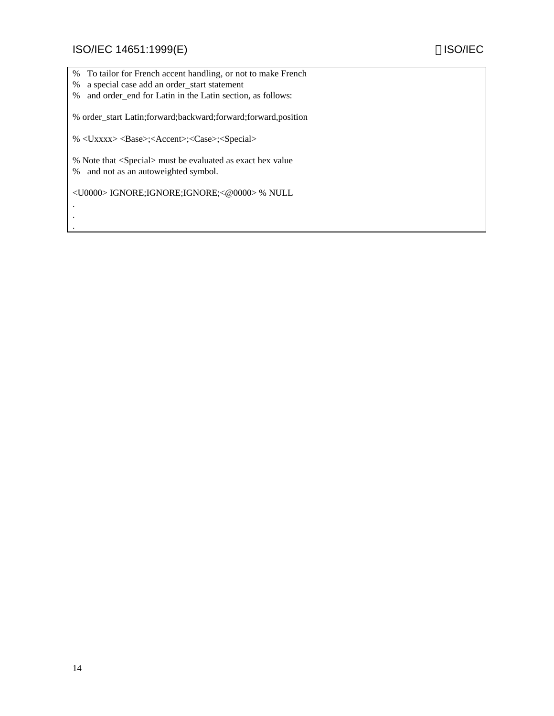. . .

- % To tailor for French accent handling, or not to make French
- % a special case add an order\_start statement
- % and order\_end for Latin in the Latin section, as follows:

% order\_start Latin;forward;backward;forward;forward,position

% <Uxxxx> <Base>;<Accent>;<Case>;<Special>

% Note that <Special> must be evaluated as exact hex value % and not as an autoweighted symbol.

<U0000> IGNORE;IGNORE;IGNORE;<@0000> % NULL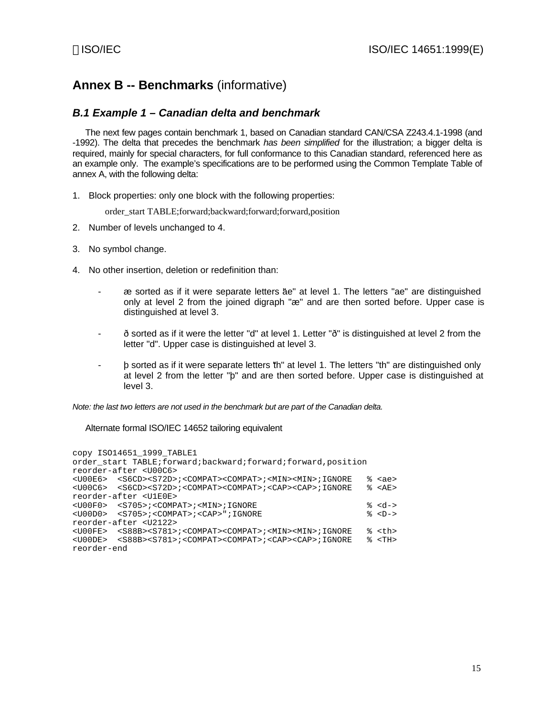# **Annex B -- Benchmarks** (informative)

### *B.1 Example 1 – Canadian delta and benchmark*

The next few pages contain benchmark 1, based on Canadian standard CAN/CSA Z243.4.1-1998 (and -1992). The delta that precedes the benchmark *has been simplified* for the illustration; a bigger delta is required, mainly for special characters, for full conformance to this Canadian standard, referenced here as an example only. The example's specifications are to be performed using the Common Template Table of annex A, with the following delta:

1. Block properties: only one block with the following properties:

order\_start TABLE;forward;backward;forward;forward,position

- 2. Number of levels unchanged to 4.
- 3. No symbol change.
- 4. No other insertion, deletion or redefinition than:
	- as sorted as if it were separate letters and a level 1. The letters "ae" are distinguished only at level 2 from the joined digraph "æ" and are then sorted before. Upper case is distinguished at level 3.
	- ð sorted as if it were the letter "d" at level 1. Letter "ð" is distinguished at level 2 from the letter "d". Upper case is distinguished at level 3.
	- þ sorted as if it were separate letters "th" at level 1. The letters "th" are distinguished only at level 2 from the letter "þ" and are then sorted before. Upper case is distinguished at level 3.

*Note: the last two letters are not used in the benchmark but are part of the Canadian delta.*

Alternate formal ISO/IEC 14652 tailoring equivalent

copy ISO14651\_1999\_TABLE1 order\_start TABLE;forward;backward;forward;forward,position reorder-after <U00C6> <U00E6> <S6CD><S72D>;<COMPAT><COMPAT>;<MIN><MIN>;IGNORE % <ae> <U00C6> <S6CD><S72D>;<COMPAT><COMPAT>;<CAP><CAP>;IGNORE % <AE> reorder-after <U1E0E> <U00F0> <S705>;<COMPAT>;<MIN>;IGNORE % <d-> <U00D0> <S705>;<COMPAT>;<CAP>";IGNORE % <D-> reorder-after <U2122> <U00FE> <S88B><S781>;<COMPAT><COMPAT>;<MIN><MIN>;IGNORE % <th> <U00DE> <S88B><S781>;<COMPAT><COMPAT>;<CAP><CAP>;IGNORE % <TH> reorder-end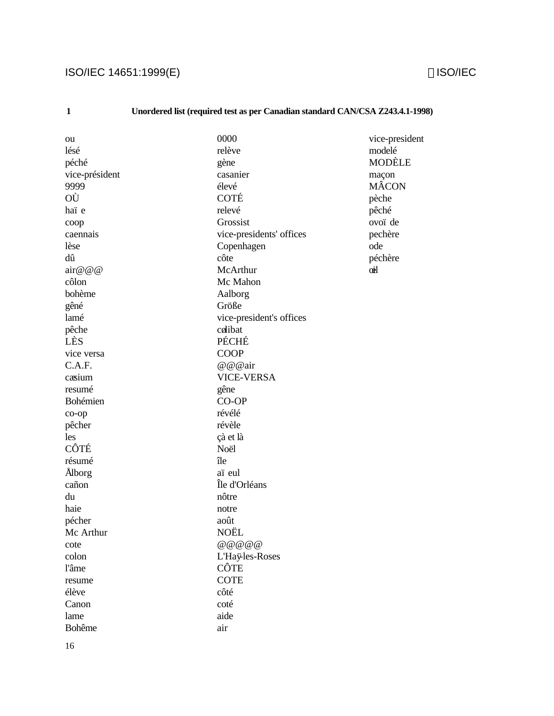# ISO/IEC 14651:1999(E) **ISO/IEC** 14651:1999(E)

# **1 Unordered list (required test as per Canadian standard CAN/CSA Z243.4.1-1998)**

| ou               | 0000                     | vice-president |
|------------------|--------------------------|----------------|
| lésé             | relève                   | modelé         |
| péché            | gène                     | MODÈLE         |
| vice-président   | casanier                 | maçon          |
| 9999             | élevé                    | <b>MÂCON</b>   |
| OÙ               | COTÉ                     | pèche          |
| haï e            | relevé                   | pêché          |
| coop             | Grossist                 | ovoï de        |
| caennais         | vice-presidents' offices | pechère        |
| lèse             | Copenhagen               | ode            |
| dû               | côte                     | péchère        |
| $\arccos \omega$ | McArthur                 | oil            |
| côlon            | Mc Mahon                 |                |
| bohème           | Aalborg                  |                |
| gêné             | Größe                    |                |
| lamé             | vice-president's offices |                |
| pêche            | colibat                  |                |
| LÈS              | PÉCHÉ                    |                |
| vice versa       | <b>COOP</b>              |                |
| C.A.F.           | @@@air                   |                |
| casium           | <b>VICE-VERSA</b>        |                |
| resumé           | gêne                     |                |
| Bohémien         | CO-OP                    |                |
| co-op            | révélé                   |                |
| pêcher           | révèle                   |                |
| les              | çà et là                 |                |
| CÔTÉ             | Noël                     |                |
| résumé           | île                      |                |
| Ålborg           | aï eul                   |                |
| cañon            | Île d'Orléans            |                |
| du               | nôtre                    |                |
| haie             | notre                    |                |
| pécher           | août                     |                |
| Mc Arthur        | NOËL                     |                |
| cote             |                          |                |
| colon            | L'Haÿles-Roses           |                |
| l'âme            | CÔTE                     |                |
| resume           | <b>COTE</b>              |                |
| élève            | côté                     |                |
| Canon            | coté                     |                |
| lame             | aide                     |                |
| <b>Bohême</b>    | air                      |                |
|                  |                          |                |

16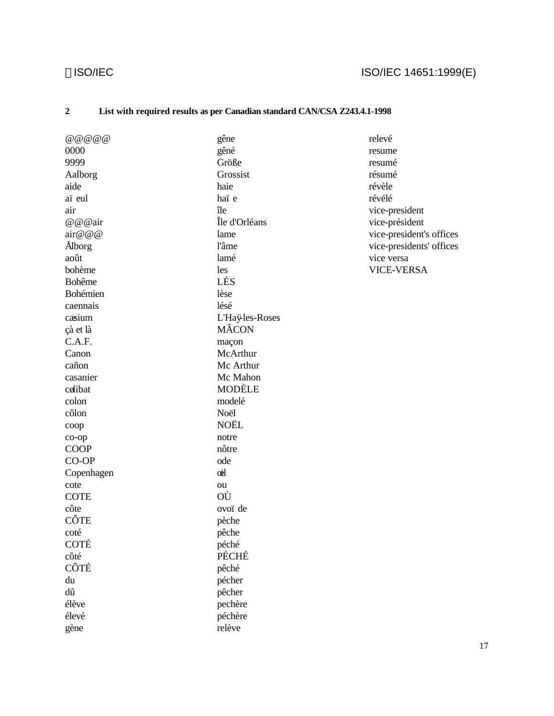# ©ISO/IEC 14651:1999(E)

# **2 List with required results as per Canadian standard CAN/CSA Z243.4.1-1998**

| @ @ @ @ @ @ @    | gêne            | relevé                   |
|------------------|-----------------|--------------------------|
| 0000             | gêné            | resume                   |
| 9999             | Größe           | resumé                   |
| Aalborg          | Grossist        | résumé                   |
| aide             | haie            | révèle                   |
| aï eul           | haï e           | révélé                   |
| air              | île             | vice-president           |
| @@@air           | Île d'Orléans   | vice-président           |
| $\arccos \omega$ | lame            | vice-president's offices |
| Ålborg           | l'âme           | vice-presidents' offices |
| août             | lamé            | vice versa               |
| bohème           | les             | <b>VICE-VERSA</b>        |
| <b>Bohême</b>    | LÈS             |                          |
| Bohémien         | lèse            |                          |
| caennais         | lésé            |                          |
| casium           | L'Haÿ-les-Roses |                          |
| çà et là         | MÂCON           |                          |
| C.A.F.           | maçon           |                          |
| Canon            | McArthur        |                          |
| cañon            | Mc Arthur       |                          |
| casanier         | Mc Mahon        |                          |
| colibat          | <b>MODÈLE</b>   |                          |
| colon            | modelé          |                          |
| côlon            | Noël            |                          |
| coop             | NOËL            |                          |
| co-op            | notre           |                          |
| <b>COOP</b>      | nôtre           |                          |
| CO-OP            | ode             |                          |
| Copenhagen       | cil             |                          |
| cote             | ou              |                          |
| <b>COTE</b>      | OÙ              |                          |
| côte             | ovoï de         |                          |
| CÔTE             | pèche           |                          |
| coté             | pêche           |                          |
| COTÉ             | péché           |                          |
| côté             | PÉCHÉ           |                          |
| CÔTÉ             | pêché           |                          |
| du               | pécher          |                          |
| dû               | pêcher          |                          |
| élève            | pechère         |                          |
| élevé            | péchère         |                          |
| gène             | relève          |                          |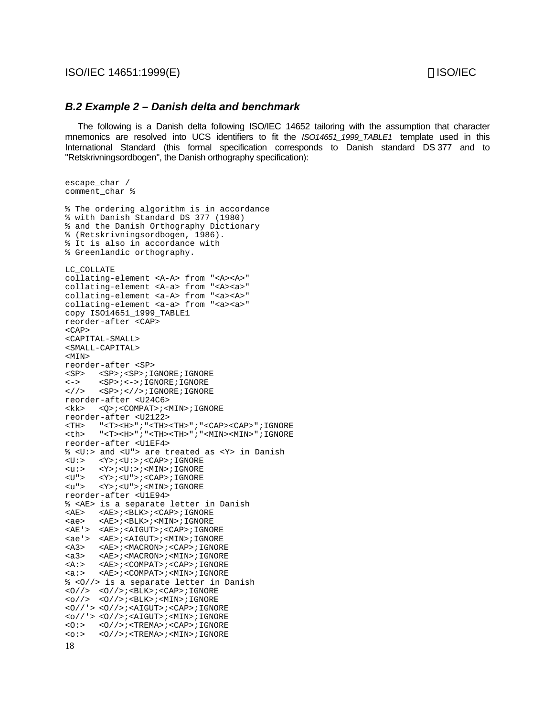ISO/IEC 14651:1999(E) ISO/IEC

### *B.2 Example 2 – Danish delta and benchmark*

The following is a Danish delta following ISO/IEC 14652 tailoring with the assumption that character mnemonics are resolved into UCS identifiers to fit the *ISO14651\_1999\_TABLE1* template used in this International Standard (this formal specification corresponds to Danish standard DS 377 and to "Retskrivningsordbogen", the Danish orthography specification):

```
18
escape_char /
comment char %
% The ordering algorithm is in accordance
% with Danish Standard DS 377 (1980)
% and the Danish Orthography Dictionary
% (Retskrivningsordbogen, 1986).
% It is also in accordance with
% Greenlandic orthography.
LC_COLLATE
collating-element <A-A> from "<A><A>"
collating-element <A-a> from "<A><a>"
collating-element <a-A> from "<a><A>"
collating-element <a-a> from "<a><a>"
copy ISO14651_1999_TABLE1
reorder-after <CAP>
<CAP><CAPITAL-SMALL>
<SMALL-CAPITAL>
<MTNreorder-after <SP>
<SP> <SP>;<SP>;IGNORE;IGNORE
<-> <SP>;<->;IGNORE;IGNORE
\langle//> <SP>;<//><//>>;IGNORE;IGNORE
reorder-after <U24C6>
<kk> <Q>;<COMPAT>;<MIN>;IGNORE
reorder-after <U2122>
<TH> "<T><H>";"<TH><TH>";"<CAP><CAP>";IGNORE
<th> "<T><H>";"<TH><TH>";"<MIN><MIN>";IGNORE
reorder-after <U1EF4>
% <U:> and <U"> are treated as <Y> in Danish
<U:> <Y>;<U:>;<CAP>;IGNORE
<u:> <Y>;<U:>;<MIN>;IGNORE
\langle U" \rangle \qquad \langle Y \rangle \, ; \, \langle U" \rangle \, ; \, \langle \text{CAP} \rangle \, ; \, \text{IGNORE}\langle u" \rangle \qquad \langle Y \rangle \, i \, \langle U" \rangle \, i \, \langle MIN \rangle \, i \, \texttt{IGNORE}reorder-after <U1E94>
% <AE> is a separate letter in Danish
<\!\!{\rm AE}\!\!>~~\!\!<<\!\!{\rm AE}\!\!>i<\!\!{\rm BLK}\!\!>i<\!\!{\rm CAP}\!\!>i\;{\rm IGNORE}<ae> <AE>;<BLK>;<MIN>;IGNORE
<AE'> <AE>;<AIGUT>;<CAP>;IGNORE
<ae'> <AE>;<AIGUT>;<MIN>;IGNORE
<A3> <AE>;<MACRON>;<CAP>;IGNORE
<a3> <AE>;<MACRON>;<MIN>;IGNORE
<A:> <AE>;<COMPAT>;<CAP>;IGNORE
<a:> <AE>;<COMPAT>;<MIN>;IGNORE
% <O//> is a separate letter in Danish
<O//><O//>;<BLK>;<CAP>;IGNORE
<o//> <O//>;<BLK>;<MIN>;IGNORE
<O//'> <O//>;<AIGUT>;<CAP>;IGNORE
<o//'> <O//>;<AIGUT>;<MIN>;IGNORE
       <O:> <O//>;<TREMA>;<CAP>;IGNORE
<o:> <O//>;<TREMA>;<MIN>;IGNORE
```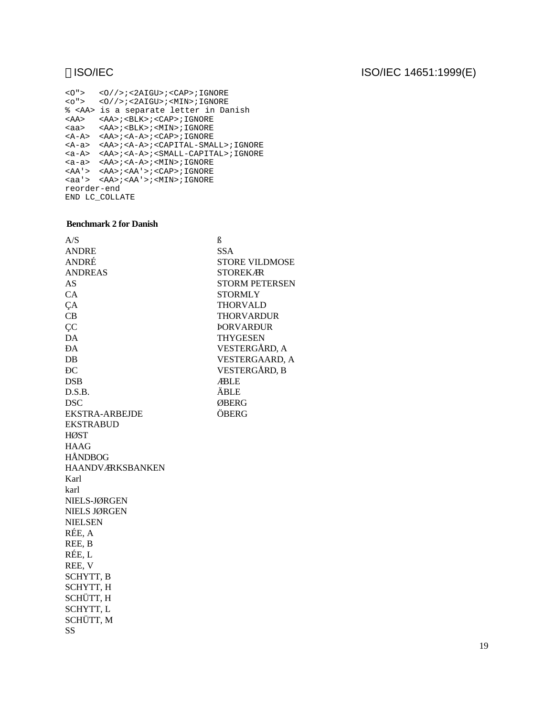# ISO/IEC ISO/IEC 14651:1999(E)

<O"> <O//>;<2AIGU>;<CAP>;IGNORE <o"> <O//>;<2AIGU>;<MIN>;IGNORE % <AA> is a separate letter in Danish <AA> <AA>;<BLK>;<CAP>;IGNORE <aa> <AA>;<BLK>;<MIN>;IGNORE <A-A> <AA>;<A-A>;<CAP>;IGNORE <A-a> <AA>;<A-A>;<CAPITAL-SMALL>;IGNORE <a-A> <AA>;<A-A>;<SMALL-CAPITAL>;IGNORE <a-a> <AA>;<A-A>;<MIN>;IGNORE <AA'> <AA>;<AA'>;<CAP>;IGNORE <aa'> <AA>;<AA'>;<MIN>;IGNORE reorder-end END LC\_COLLATE

### **Benchmark 2 for Danish**

| A/S                     | ß                     |
|-------------------------|-----------------------|
| <b>ANDRE</b>            | <b>SSA</b>            |
| ANDRÉ                   | <b>STORE VILDMOSE</b> |
| <b>ANDREAS</b>          | <b>STOREKAR</b>       |
| AS                      | <b>STORM PETERSEN</b> |
| CA                      | <b>STORMLY</b>        |
| ÇA                      | <b>THORVALD</b>       |
| CB                      | <b>THORVARDUR</b>     |
| <b>ÇC</b>               | <b>PORVARĐUR</b>      |
| DA                      | <b>THYGESEN</b>       |
| ĐA                      | VESTERGÅRD, A         |
| $DB$                    | <b>VESTERGAARD, A</b> |
| ÐС                      | VESTERGÅRD, B         |
| <b>DSB</b>              | <b>ABLE</b>           |
| D.S.B.                  | ÄBLE                  |
| <b>DSC</b>              | ØBERG                 |
| <b>EKSTRA-ARBEJDE</b>   | ÖBERG                 |
| <b>EKSTRABUD</b>        |                       |
| <b>HØST</b>             |                       |
| <b>HAAG</b>             |                       |
| <b>HÅNDBOG</b>          |                       |
| <b>HAANDVÆRKSBANKEN</b> |                       |
| Karl                    |                       |
| karl                    |                       |
| NIELS-JØRGEN            |                       |
| NIELS JØRGEN            |                       |
| <b>NIELSEN</b>          |                       |
| RÉE, A                  |                       |
| REE, B                  |                       |
| RÉE, L                  |                       |
| REE, V                  |                       |
| <b>SCHYTT, B</b>        |                       |
| SCHYTT, H               |                       |
| SCHÜTT, H               |                       |
| SCHYTT, L               |                       |
| SCHÜTT, M               |                       |
| SS                      |                       |
|                         |                       |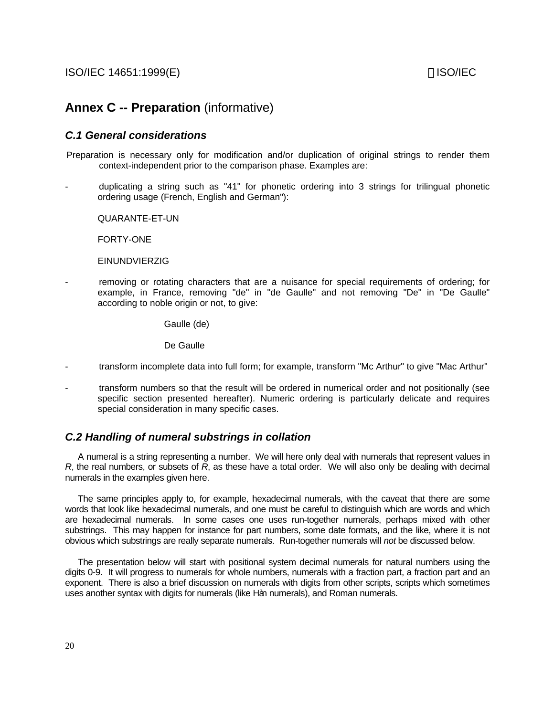# **Annex C -- Preparation** (informative)

### *C.1 General considerations*

Preparation is necessary only for modification and/or duplication of original strings to render them context-independent prior to the comparison phase. Examples are:

- duplicating a string such as "41" for phonetic ordering into 3 strings for trilingual phonetic ordering usage (French, English and German"):

QUARANTE-ET-UN

FORTY-ONE

### EINUNDVIERZIG

removing or rotating characters that are a nuisance for special requirements of ordering; for example, in France, removing "de" in "de Gaulle" and not removing "De" in "De Gaulle" according to noble origin or not, to give:

Gaulle (de)

De Gaulle

- transform incomplete data into full form; for example, transform "Mc Arthur" to give "Mac Arthur"
- transform numbers so that the result will be ordered in numerical order and not positionally (see specific section presented hereafter). Numeric ordering is particularly delicate and requires special consideration in many specific cases.

### *C.2 Handling of numeral substrings in collation*

A numeral is a string representing a number. We will here only deal with numerals that represent values in *R*, the real numbers, or subsets of *R*, as these have a total order. We will also only be dealing with decimal numerals in the examples given here.

The same principles apply to, for example, hexadecimal numerals, with the caveat that there are some words that look like hexadecimal numerals, and one must be careful to distinguish which are words and which are hexadecimal numerals. In some cases one uses run-together numerals, perhaps mixed with other substrings. This may happen for instance for part numbers, some date formats, and the like, where it is not obvious which substrings are really separate numerals. Run-together numerals will *not* be discussed below.

The presentation below will start with positional system decimal numerals for natural numbers using the digits 0-9. It will progress to numerals for whole numbers, numerals with a fraction part, a fraction part and an exponent. There is also a brief discussion on numerals with digits from other scripts, scripts which sometimes uses another syntax with digits for numerals (like Hàn numerals), and Roman numerals.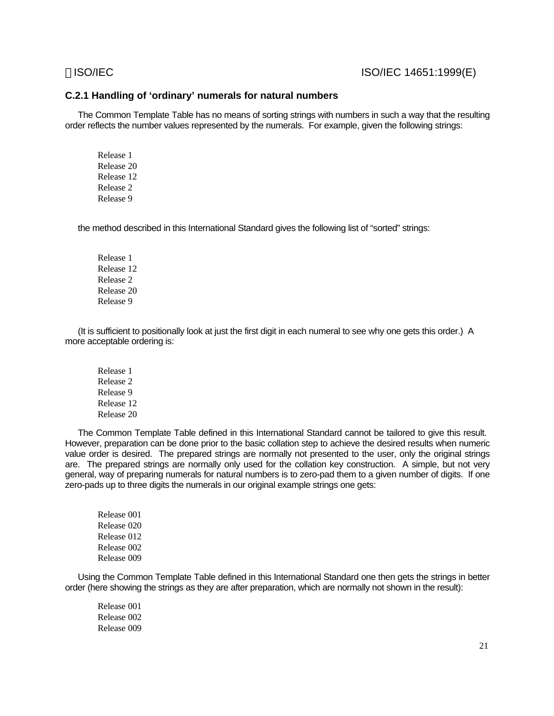### ISO/IEC ISO/IEC 14651:1999(E)

### **C.2.1 Handling of 'ordinary' numerals for natural numbers**

The Common Template Table has no means of sorting strings with numbers in such a way that the resulting order reflects the number values represented by the numerals. For example, given the following strings:

Release 1 Release 20 Release 12 Release 2 Release 9

the method described in this International Standard gives the following list of "sorted" strings:

Release 1 Release 12 Release 2 Release 20 Release 9

(It is sufficient to positionally look at just the first digit in each numeral to see why one gets this order.) A more acceptable ordering is:

Release 1 Release 2 Release 9 Release 12 Release 20

The Common Template Table defined in this International Standard cannot be tailored to give this result. However, preparation can be done prior to the basic collation step to achieve the desired results when numeric value order is desired. The prepared strings are normally not presented to the user, only the original strings are. The prepared strings are normally only used for the collation key construction. A simple, but not very general, way of preparing numerals for natural numbers is to zero-pad them to a given number of digits. If one zero-pads up to three digits the numerals in our original example strings one gets:

Release 001 Release 020 Release 012 Release 002 Release 009

Using the Common Template Table defined in this International Standard one then gets the strings in better order (here showing the strings as they are after preparation, which are normally not shown in the result):

Release 001 Release 002 Release 009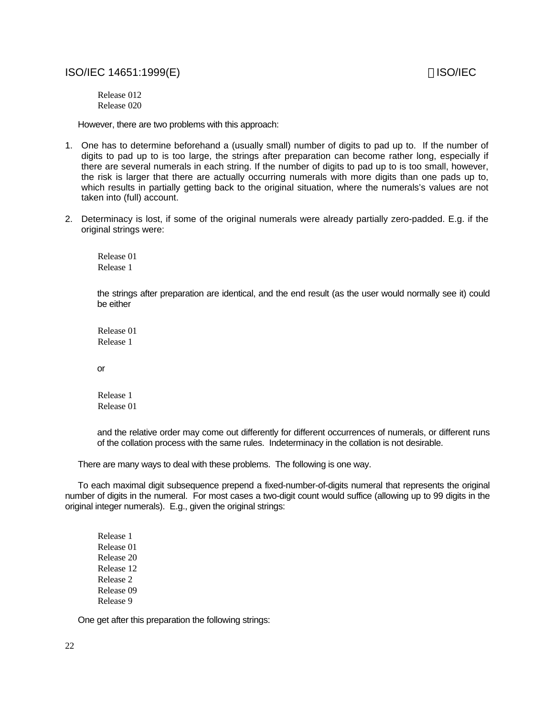### ISO/IEC 14651:1999(E) 80 and 20 and 20 and 20 and 20 and 20 and 20 and 20 and 20 and 20 and 20 and 20 and 20 and 20 and 20 and 20 and 20 and 20 and 20 and 20 and 20 and 20 and 20 and 20 and 20 and 20 and 20 and 20 and 20 a

Release 012 Release 020

However, there are two problems with this approach:

- 1. One has to determine beforehand a (usually small) number of digits to pad up to. If the number of digits to pad up to is too large, the strings after preparation can become rather long, especially if there are several numerals in each string. If the number of digits to pad up to is too small, however, the risk is larger that there are actually occurring numerals with more digits than one pads up to, which results in partially getting back to the original situation, where the numerals's values are not taken into (full) account.
- 2. Determinacy is lost, if some of the original numerals were already partially zero-padded. E.g. if the original strings were:

Release 01 Release 1

the strings after preparation are identical, and the end result (as the user would normally see it) could be either

Release 01 Release 1

or

Release 1 Release 01

and the relative order may come out differently for different occurrences of numerals, or different runs of the collation process with the same rules. Indeterminacy in the collation is not desirable.

There are many ways to deal with these problems. The following is one way.

To each maximal digit subsequence prepend a fixed-number-of-digits numeral that represents the original number of digits in the numeral. For most cases a two-digit count would suffice (allowing up to 99 digits in the original integer numerals). E.g., given the original strings:

Release 1 Release 01 Release 20 Release 12 Release 2 Release 09 Release 9

One get after this preparation the following strings: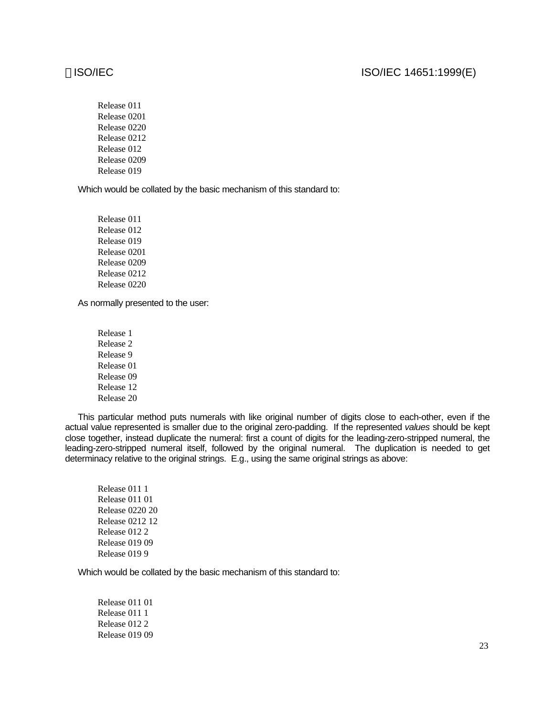### ISO/IEC ISO/IEC 14651:1999(E)

Release 011 Release 0201 Release 0220 Release 0212 Release 012 Release 0209 Release 019

Which would be collated by the basic mechanism of this standard to:

Release 011 Release 012 Release 019 Release 0201 Release 0209 Release 0212 Release 0220

As normally presented to the user:

Release 1 Release 2 Release 9 Release 01 Release 09 Release 12 Release 20

This particular method puts numerals with like original number of digits close to each-other, even if the actual value represented is smaller due to the original zero-padding. If the represented *values* should be kept close together, instead duplicate the numeral: first a count of digits for the leading-zero-stripped numeral, the leading-zero-stripped numeral itself, followed by the original numeral. The duplication is needed to get determinacy relative to the original strings. E.g., using the same original strings as above:

Which would be collated by the basic mechanism of this standard to:

Release 011 01 Release 011 1 Release 012 2 Release 019 09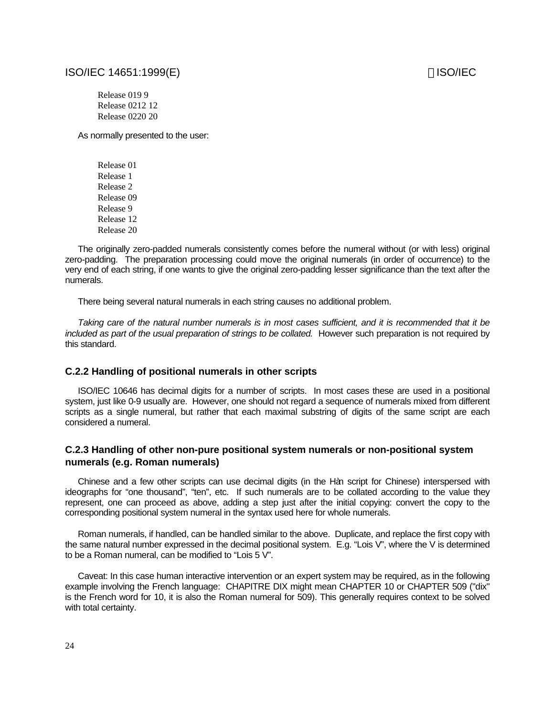### ISO/IEC 14651:1999(E) ISO/IEC

Release 019 9 Release 0212 12 Release 0220 20

As normally presented to the user:

Release 01 Release 1 Release 2 Release 09 Release 9 Release 12 Release 20

The originally zero-padded numerals consistently comes before the numeral without (or with less) original zero-padding. The preparation processing could move the original numerals (in order of occurrence) to the very end of each string, if one wants to give the original zero-padding lesser significance than the text after the numerals.

There being several natural numerals in each string causes no additional problem.

*Taking care of the natural number numerals is in most cases sufficient, and it is recommended that it be included as part of the usual preparation of strings to be collated.* However such preparation is not required by this standard.

### **C.2.2 Handling of positional numerals in other scripts**

ISO/IEC 10646 has decimal digits for a number of scripts. In most cases these are used in a positional system, just like 0-9 usually are. However, one should not regard a sequence of numerals mixed from different scripts as a single numeral, but rather that each maximal substring of digits of the same script are each considered a numeral.

### **C.2.3 Handling of other non-pure positional system numerals or non-positional system numerals (e.g. Roman numerals)**

Chinese and a few other scripts can use decimal digits (in the Hàn script for Chinese) interspersed with ideographs for "one thousand", "ten", etc. If such numerals are to be collated according to the value they represent, one can proceed as above, adding a step just after the initial copying: convert the copy to the corresponding positional system numeral in the syntax used here for whole numerals.

Roman numerals, if handled, can be handled similar to the above. Duplicate, and replace the first copy with the same natural number expressed in the decimal positional system. E.g. "Lois V", where the V is determined to be a Roman numeral, can be modified to "Lois 5 V".

Caveat: In this case human interactive intervention or an expert system may be required, as in the following example involving the French language: CHAPITRE DIX might mean CHAPTER 10 or CHAPTER 509 ("dix" is the French word for 10, it is also the Roman numeral for 509). This generally requires context to be solved with total certainty.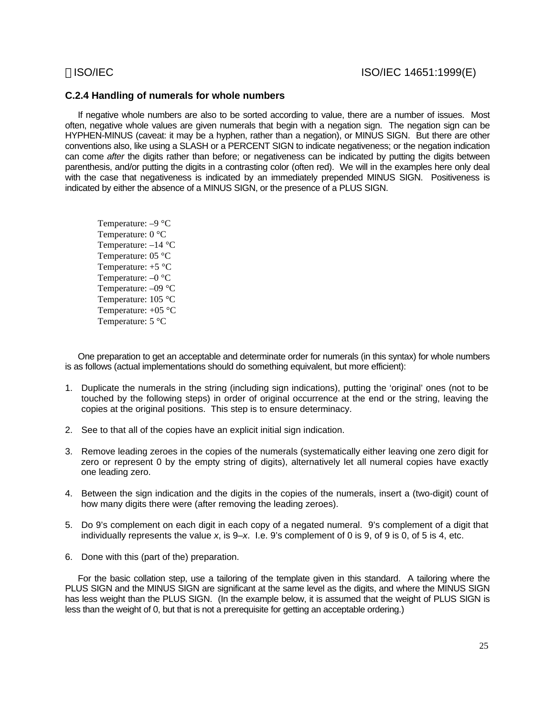### **C.2.4 Handling of numerals for whole numbers**

If negative whole numbers are also to be sorted according to value, there are a number of issues. Most often, negative whole values are given numerals that begin with a negation sign. The negation sign can be HYPHEN-MINUS (caveat: it may be a hyphen, rather than a negation), or MINUS SIGN. But there are other conventions also, like using a SLASH or a PERCENT SIGN to indicate negativeness; or the negation indication can come *after* the digits rather than before; or negativeness can be indicated by putting the digits between parenthesis, and/or putting the digits in a contrasting color (often red). We will in the examples here only deal with the case that negativeness is indicated by an immediately prepended MINUS SIGN. Positiveness is indicated by either the absence of a MINUS SIGN, or the presence of a PLUS SIGN.

Temperature: –9 °C Temperature: 0 °C Temperature: –14 °C Temperature: 05 °C Temperature: +5 °C Temperature: –0 °C Temperature: –09 °C Temperature: 105 °C Temperature: +05 °C Temperature: 5 °C

One preparation to get an acceptable and determinate order for numerals (in this syntax) for whole numbers is as follows (actual implementations should do something equivalent, but more efficient):

- 1. Duplicate the numerals in the string (including sign indications), putting the 'original' ones (not to be touched by the following steps) in order of original occurrence at the end or the string, leaving the copies at the original positions. This step is to ensure determinacy.
- 2. See to that all of the copies have an explicit initial sign indication.
- 3. Remove leading zeroes in the copies of the numerals (systematically either leaving one zero digit for zero or represent 0 by the empty string of digits), alternatively let all numeral copies have exactly one leading zero.
- 4. Between the sign indication and the digits in the copies of the numerals, insert a (two-digit) count of how many digits there were (after removing the leading zeroes).
- 5. Do 9's complement on each digit in each copy of a negated numeral. 9's complement of a digit that individually represents the value *x*, is 9–*x*. I.e. 9's complement of 0 is 9, of 9 is 0, of 5 is 4, etc.
- 6. Done with this (part of the) preparation.

For the basic collation step, use a tailoring of the template given in this standard. A tailoring where the PLUS SIGN and the MINUS SIGN are significant at the same level as the digits, and where the MINUS SIGN has less weight than the PLUS SIGN. (In the example below, it is assumed that the weight of PLUS SIGN is less than the weight of 0, but that is not a prerequisite for getting an acceptable ordering.)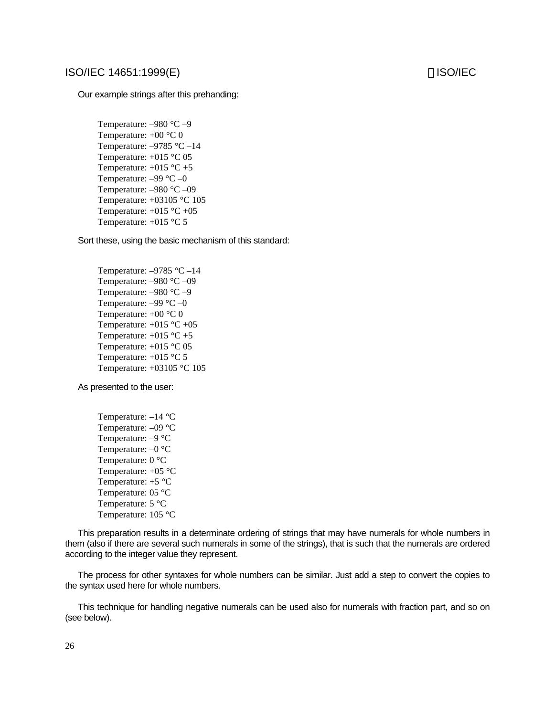### ISO/IEC 14651:1999(E) isolated a set of the set of the set of the set of the set of the set of the set of the set of the set of the set of the set of the set of the set of the set of the set of the set of the set of the se

Our example strings after this prehanding:

Temperature: –980 °C –9 Temperature:  $+00$  °C 0 Temperature:  $-9785$  °C  $-14$ Temperature: +015 °C 05 Temperature:  $+015$  °C  $+5$ Temperature: –99 °C –0 Temperature: –980 °C –09 Temperature: +03105 °C 105 Temperature:  $+015$  °C  $+05$ Temperature: +015 °C 5

Sort these, using the basic mechanism of this standard:

Temperature:  $-9785$  °C  $-14$ Temperature: –980 °C –09 Temperature: –980 °C –9 Temperature: –99 °C –0 Temperature:  $+00$  °C 0 Temperature: +015 °C +05 Temperature:  $+015$  °C  $+5$ Temperature: +015 °C 05 Temperature: +015 °C 5 Temperature: +03105 °C 105

As presented to the user:

Temperature: –14 °C Temperature: –09 °C Temperature: –9 °C Temperature: –0 °C Temperature: 0 °C Temperature:  $+05$  °C Temperature: +5 °C Temperature: 05 °C Temperature: 5 °C Temperature: 105 °C

This preparation results in a determinate ordering of strings that may have numerals for whole numbers in them (also if there are several such numerals in some of the strings), that is such that the numerals are ordered according to the integer value they represent.

The process for other syntaxes for whole numbers can be similar. Just add a step to convert the copies to the syntax used here for whole numbers.

This technique for handling negative numerals can be used also for numerals with fraction part, and so on (see below).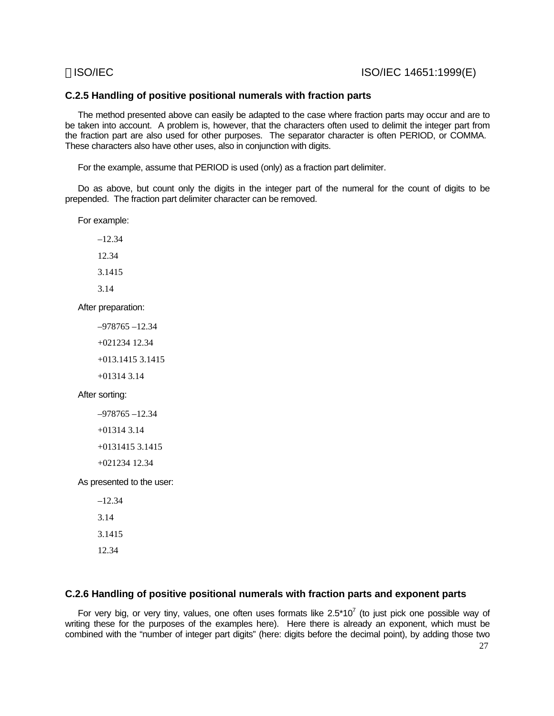### **C.2.5 Handling of positive positional numerals with fraction parts**

The method presented above can easily be adapted to the case where fraction parts may occur and are to be taken into account. A problem is, however, that the characters often used to delimit the integer part from the fraction part are also used for other purposes. The separator character is often PERIOD, or COMMA. These characters also have other uses, also in conjunction with digits.

For the example, assume that PERIOD is used (only) as a fraction part delimiter.

Do as above, but count only the digits in the integer part of the numeral for the count of digits to be prepended. The fraction part delimiter character can be removed.

For example:

–12.34 12.34 3.1415 3.14

After preparation:

–978765 –12.34 +021234 12.34 +013.1415 3.1415 +01314 3.14

### After sorting:

```
–978765 –12.34
```

```
+01314 3.14
```

```
+0131415 3.1415
```
+021234 12.34

As presented to the user:

–12.34 3.14 3.1415 12.34

### **C.2.6 Handling of positive positional numerals with fraction parts and exponent parts**

For very big, or very tiny, values, one often uses formats like  $2.5*10^7$  (to just pick one possible way of writing these for the purposes of the examples here). Here there is already an exponent, which must be combined with the "number of integer part digits" (here: digits before the decimal point), by adding those two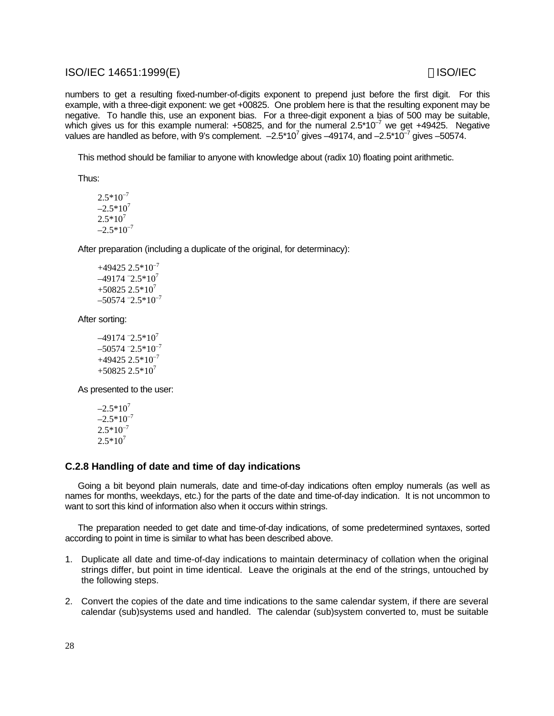### ISO/IEC 14651:1999(E) isolated a set of the set of the set of the set of the set of the set of the set of the set of the set of the set of the set of the set of the set of the set of the set of the set of the set of the se

numbers to get a resulting fixed-number-of-digits exponent to prepend just before the first digit. For this example, with a three-digit exponent: we get +00825. One problem here is that the resulting exponent may be negative. To handle this, use an exponent bias. For a three-digit exponent a bias of 500 may be suitable, which gives us for this example numeral:  $+50825$ , and for the numeral  $2.5*10^{-7}$  we get  $+49425$ . Negative values are handled as before, with 9's complement.  $-2.5*10^7$  gives  $-49174$ , and  $-2.5*10^{-7}$  gives  $-50574$ .

This method should be familiar to anyone with knowledge about (radix 10) floating point arithmetic.

Thus:

 $2.5*10^{-7}$  $-2.5*10^7$  $2.5*10^7$  $-2.5*10^{-7}$ 

After preparation (including a duplicate of the original, for determinacy):

 $+49425$  2.5 $*10^{-7}$  $-49174 - 2.5 \times 10^7$  $+50825$  2.5\*10<sup>7</sup>  $-50574 - 2.5 \times 10^{-7}$ 

After sorting:

 $-49174 - 2.5 \times 10^7$  $-50574 - 2.5 \times 10^{-7}$  $+49425$  2.5 $*10^{-7}$  $+50825253*10<sup>7</sup>$ 

As presented to the user:

 $-2.5*10^7$  $-2.5*10^{-7}$  $2.5*10^{-7}$  $2.5*10^7$ 

### **C.2.8 Handling of date and time of day indications**

Going a bit beyond plain numerals, date and time-of-day indications often employ numerals (as well as names for months, weekdays, etc.) for the parts of the date and time-of-day indication. It is not uncommon to want to sort this kind of information also when it occurs within strings.

The preparation needed to get date and time-of-day indications, of some predetermined syntaxes, sorted according to point in time is similar to what has been described above.

- 1. Duplicate all date and time-of-day indications to maintain determinacy of collation when the original strings differ, but point in time identical. Leave the originals at the end of the strings, untouched by the following steps.
- 2. Convert the copies of the date and time indications to the same calendar system, if there are several calendar (sub)systems used and handled. The calendar (sub)system converted to, must be suitable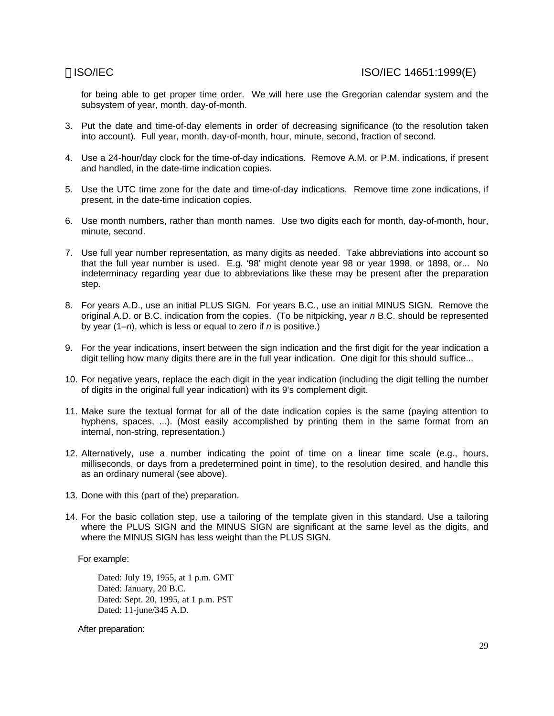for being able to get proper time order. We will here use the Gregorian calendar system and the subsystem of year, month, day-of-month.

- 3. Put the date and time-of-day elements in order of decreasing significance (to the resolution taken into account). Full year, month, day-of-month, hour, minute, second, fraction of second.
- 4. Use a 24-hour/day clock for the time-of-day indications. Remove A.M. or P.M. indications, if present and handled, in the date-time indication copies.
- 5. Use the UTC time zone for the date and time-of-day indications. Remove time zone indications, if present, in the date-time indication copies.
- 6. Use month numbers, rather than month names. Use two digits each for month, day-of-month, hour, minute, second.
- 7. Use full year number representation, as many digits as needed. Take abbreviations into account so that the full year number is used. E.g. '98' might denote year 98 or year 1998, or 1898, or... No indeterminacy regarding year due to abbreviations like these may be present after the preparation step.
- 8. For years A.D., use an initial PLUS SIGN. For years B.C., use an initial MINUS SIGN. Remove the original A.D. or B.C. indication from the copies. (To be nitpicking, year *n* B.C. should be represented by year (1–*n*), which is less or equal to zero if *n* is positive.)
- 9. For the year indications, insert between the sign indication and the first digit for the year indication a digit telling how many digits there are in the full year indication. One digit for this should suffice...
- 10. For negative years, replace the each digit in the year indication (including the digit telling the number of digits in the original full year indication) with its 9's complement digit.
- 11. Make sure the textual format for all of the date indication copies is the same (paying attention to hyphens, spaces, ...). (Most easily accomplished by printing them in the same format from an internal, non-string, representation.)
- 12. Alternatively, use a number indicating the point of time on a linear time scale (e.g., hours, milliseconds, or days from a predetermined point in time), to the resolution desired, and handle this as an ordinary numeral (see above).
- 13. Done with this (part of the) preparation.
- 14. For the basic collation step, use a tailoring of the template given in this standard. Use a tailoring where the PLUS SIGN and the MINUS SIGN are significant at the same level as the digits, and where the MINUS SIGN has less weight than the PLUS SIGN.

For example:

Dated: July 19, 1955, at 1 p.m. GMT Dated: January, 20 B.C. Dated: Sept. 20, 1995, at 1 p.m. PST Dated: 11-june/345 A.D.

After preparation: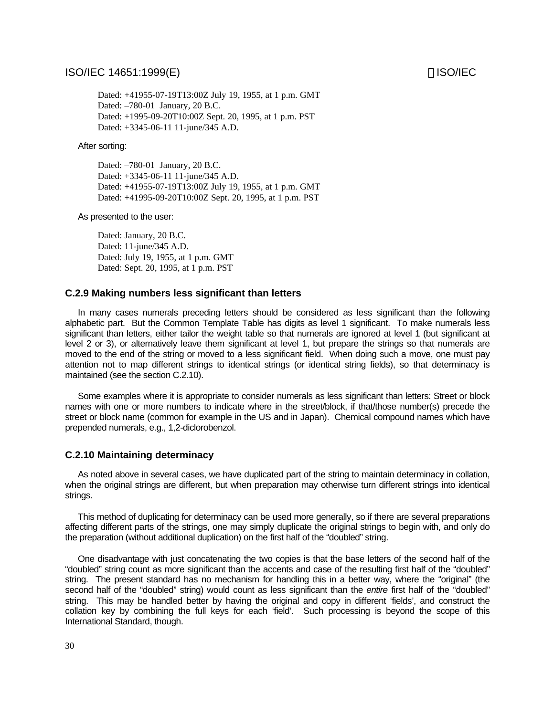### ISO/IEC 14651:1999(E) isolated to the set of the set of the set of the set of the set of the set of the set of the set of the set of the set of the set of the set of the set of the set of the set of the set of the set of t

Dated: +41955-07-19T13:00Z July 19, 1955, at 1 p.m. GMT Dated: –780-01 January, 20 B.C. Dated: +1995-09-20T10:00Z Sept. 20, 1995, at 1 p.m. PST Dated: +3345-06-11 11-june/345 A.D.

After sorting:

Dated: –780-01 January, 20 B.C. Dated: +3345-06-11 11-june/345 A.D. Dated: +41955-07-19T13:00Z July 19, 1955, at 1 p.m. GMT Dated: +41995-09-20T10:00Z Sept. 20, 1995, at 1 p.m. PST

As presented to the user:

Dated: January, 20 B.C. Dated: 11-june/345 A.D. Dated: July 19, 1955, at 1 p.m. GMT Dated: Sept. 20, 1995, at 1 p.m. PST

### **C.2.9 Making numbers less significant than letters**

In many cases numerals preceding letters should be considered as less significant than the following alphabetic part. But the Common Template Table has digits as level 1 significant. To make numerals less significant than letters, either tailor the weight table so that numerals are ignored at level 1 (but significant at level 2 or 3), or alternatively leave them significant at level 1, but prepare the strings so that numerals are moved to the end of the string or moved to a less significant field. When doing such a move, one must pay attention not to map different strings to identical strings (or identical string fields), so that determinacy is maintained (see the section C.2.10).

Some examples where it is appropriate to consider numerals as less significant than letters: Street or block names with one or more numbers to indicate where in the street/block, if that/those number(s) precede the street or block name (common for example in the US and in Japan). Chemical compound names which have prepended numerals, e.g., 1,2-diclorobenzol.

### **C.2.10 Maintaining determinacy**

As noted above in several cases, we have duplicated part of the string to maintain determinacy in collation, when the original strings are different, but when preparation may otherwise turn different strings into identical strings.

This method of duplicating for determinacy can be used more generally, so if there are several preparations affecting different parts of the strings, one may simply duplicate the original strings to begin with, and only do the preparation (without additional duplication) on the first half of the "doubled" string.

One disadvantage with just concatenating the two copies is that the base letters of the second half of the "doubled" string count as more significant than the accents and case of the resulting first half of the "doubled" string. The present standard has no mechanism for handling this in a better way, where the "original" (the second half of the "doubled" string) would count as less significant than the *entire* first half of the "doubled" string. This may be handled better by having the original and copy in different 'fields', and construct the collation key by combining the full keys for each 'field'. Such processing is beyond the scope of this International Standard, though.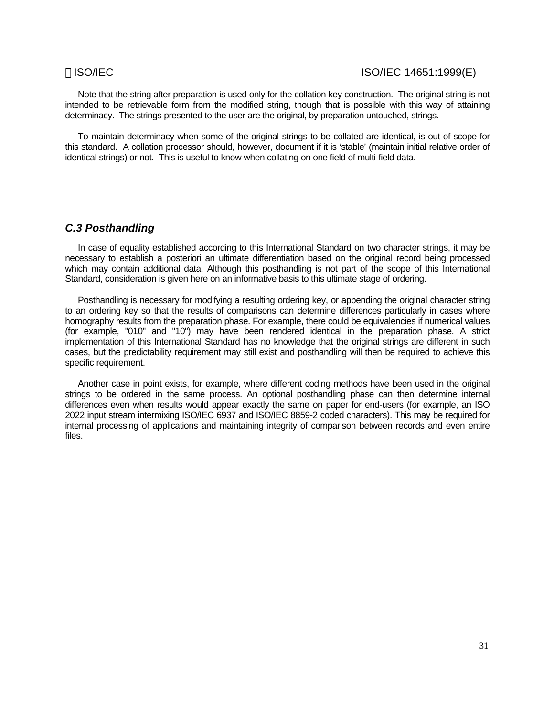Note that the string after preparation is used only for the collation key construction. The original string is not intended to be retrievable form from the modified string, though that is possible with this way of attaining determinacy. The strings presented to the user are the original, by preparation untouched, strings.

To maintain determinacy when some of the original strings to be collated are identical, is out of scope for this standard. A collation processor should, however, document if it is 'stable' (maintain initial relative order of identical strings) or not. This is useful to know when collating on one field of multi-field data.

### *C.3 Posthandling*

In case of equality established according to this International Standard on two character strings, it may be necessary to establish a posteriori an ultimate differentiation based on the original record being processed which may contain additional data. Although this posthandling is not part of the scope of this International Standard, consideration is given here on an informative basis to this ultimate stage of ordering.

Posthandling is necessary for modifying a resulting ordering key, or appending the original character string to an ordering key so that the results of comparisons can determine differences particularly in cases where homography results from the preparation phase. For example, there could be equivalencies if numerical values (for example, "010" and "10") may have been rendered identical in the preparation phase. A strict implementation of this International Standard has no knowledge that the original strings are different in such cases, but the predictability requirement may still exist and posthandling will then be required to achieve this specific requirement.

Another case in point exists, for example, where different coding methods have been used in the original strings to be ordered in the same process. An optional posthandling phase can then determine internal differences even when results would appear exactly the same on paper for end-users (for example, an ISO 2022 input stream intermixing ISO/IEC 6937 and ISO/IEC 8859-2 coded characters). This may be required for internal processing of applications and maintaining integrity of comparison between records and even entire files.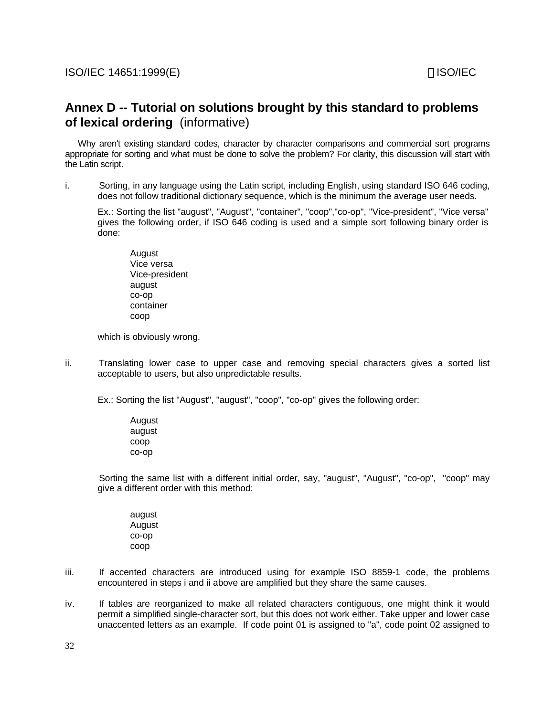# **Annex D -- Tutorial on solutions brought by this standard to problems of lexical ordering** (informative)

Why aren't existing standard codes, character by character comparisons and commercial sort programs appropriate for sorting and what must be done to solve the problem? For clarity, this discussion will start with the Latin script.

i. Sorting, in any language using the Latin script, including English, using standard ISO 646 coding, does not follow traditional dictionary sequence, which is the minimum the average user needs.

Ex.: Sorting the list "august", "August", "container", "coop","co-op", "Vice-president", "Vice versa" gives the following order, if ISO 646 coding is used and a simple sort following binary order is done:

August Vice versa Vice-president august co-op container coop

which is obviously wrong.

ii. Translating lower case to upper case and removing special characters gives a sorted list acceptable to users, but also unpredictable results.

Ex.: Sorting the list "August", "august", "coop", "co-op" gives the following order:

August august coop co-op

Sorting the same list with a different initial order, say, "august", "August", "co-op", "coop" may give a different order with this method:

august August co-op coop

- iii. If accented characters are introduced using for example ISO 8859-1 code, the problems encountered in steps i and ii above are amplified but they share the same causes.
- iv. If tables are reorganized to make all related characters contiguous, one might think it would permit a simplified single-character sort, but this does not work either. Take upper and lower case unaccented letters as an example. If code point 01 is assigned to "a", code point 02 assigned to

32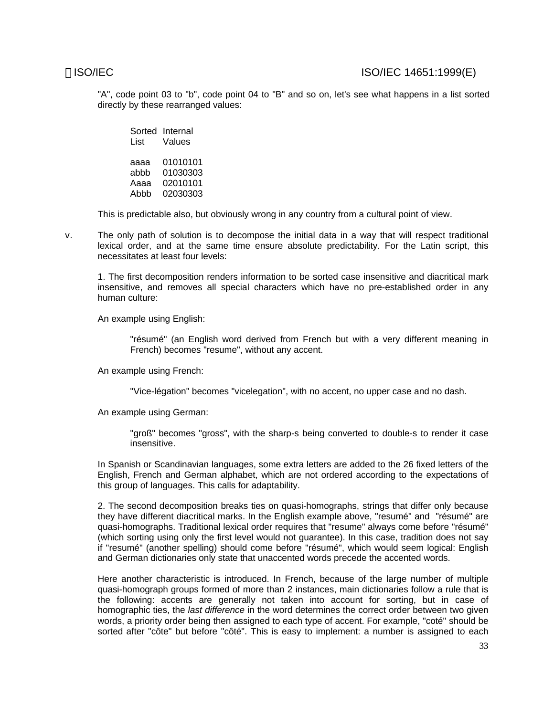"A", code point 03 to "b", code point 04 to "B" and so on, let's see what happens in a list sorted directly by these rearranged values:

Sorted Internal List Values aaaa 01010101 abbb 01030303 Aaaa 02010101 Abbb 02030303

This is predictable also, but obviously wrong in any country from a cultural point of view.

v. The only path of solution is to decompose the initial data in a way that will respect traditional lexical order, and at the same time ensure absolute predictability. For the Latin script, this necessitates at least four levels:

1. The first decomposition renders information to be sorted case insensitive and diacritical mark insensitive, and removes all special characters which have no pre-established order in any human culture:

An example using English:

"résumé" (an English word derived from French but with a very different meaning in French) becomes "resume", without any accent.

An example using French:

"Vice-légation" becomes "vicelegation", with no accent, no upper case and no dash.

An example using German:

"groß" becomes "gross", with the sharp-s being converted to double-s to render it case insensitive.

In Spanish or Scandinavian languages, some extra letters are added to the 26 fixed letters of the English, French and German alphabet, which are not ordered according to the expectations of this group of languages. This calls for adaptability.

2. The second decomposition breaks ties on quasi-homographs, strings that differ only because they have different diacritical marks. In the English example above, "resumé" and "résumé" are quasi-homographs. Traditional lexical order requires that "resume" always come before "résumé" (which sorting using only the first level would not guarantee). In this case, tradition does not say if "resumé" (another spelling) should come before "résumé", which would seem logical: English and German dictionaries only state that unaccented words precede the accented words.

Here another characteristic is introduced. In French, because of the large number of multiple quasi-homograph groups formed of more than 2 instances, main dictionaries follow a rule that is the following: accents are generally not taken into account for sorting, but in case of homographic ties, the *last difference* in the word determines the correct order between two given words, a priority order being then assigned to each type of accent. For example, "coté" should be sorted after "côte" but before "côté". This is easy to implement: a number is assigned to each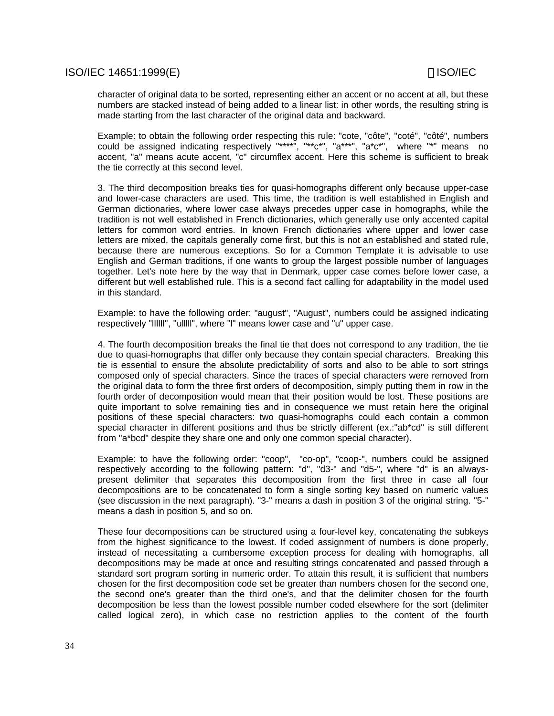character of original data to be sorted, representing either an accent or no accent at all, but these numbers are stacked instead of being added to a linear list: in other words, the resulting string is made starting from the last character of the original data and backward.

Example: to obtain the following order respecting this rule: "cote, "côte", "coté", "côté", numbers could be assigned indicating respectively "\*\*\*\*", "\*\*c\*", "a\*\*\*", "a\*c\*", where "\*" means no accent, "a" means acute accent, "c" circumflex accent. Here this scheme is sufficient to break the tie correctly at this second level.

3. The third decomposition breaks ties for quasi-homographs different only because upper-case and lower-case characters are used. This time, the tradition is well established in English and German dictionaries, where lower case always precedes upper case in homographs, while the tradition is not well established in French dictionaries, which generally use only accented capital letters for common word entries. In known French dictionaries where upper and lower case letters are mixed, the capitals generally come first, but this is not an established and stated rule, because there are numerous exceptions. So for a Common Template it is advisable to use English and German traditions, if one wants to group the largest possible number of languages together. Let's note here by the way that in Denmark, upper case comes before lower case, a different but well established rule. This is a second fact calling for adaptability in the model used in this standard.

Example: to have the following order: "august", "August", numbers could be assigned indicating respectively "llllll", "ulllll", where "l" means lower case and "u" upper case.

4. The fourth decomposition breaks the final tie that does not correspond to any tradition, the tie due to quasi-homographs that differ only because they contain special characters. Breaking this tie is essential to ensure the absolute predictability of sorts and also to be able to sort strings composed only of special characters. Since the traces of special characters were removed from the original data to form the three first orders of decomposition, simply putting them in row in the fourth order of decomposition would mean that their position would be lost. These positions are quite important to solve remaining ties and in consequence we must retain here the original positions of these special characters: two quasi-homographs could each contain a common special character in different positions and thus be strictly different (ex.:"ab\*cd" is still different from "a\*bcd" despite they share one and only one common special character).

Example: to have the following order: "coop", "co-op", "coop-", numbers could be assigned respectively according to the following pattern: "d", "d3-" and "d5-", where "d" is an alwayspresent delimiter that separates this decomposition from the first three in case all four decompositions are to be concatenated to form a single sorting key based on numeric values (see discussion in the next paragraph). "3-" means a dash in position 3 of the original string. "5-" means a dash in position 5, and so on.

These four decompositions can be structured using a four-level key, concatenating the subkeys from the highest significance to the lowest. If coded assignment of numbers is done properly, instead of necessitating a cumbersome exception process for dealing with homographs, all decompositions may be made at once and resulting strings concatenated and passed through a standard sort program sorting in numeric order. To attain this result, it is sufficient that numbers chosen for the first decomposition code set be greater than numbers chosen for the second one, the second one's greater than the third one's, and that the delimiter chosen for the fourth decomposition be less than the lowest possible number coded elsewhere for the sort (delimiter called logical zero), in which case no restriction applies to the content of the fourth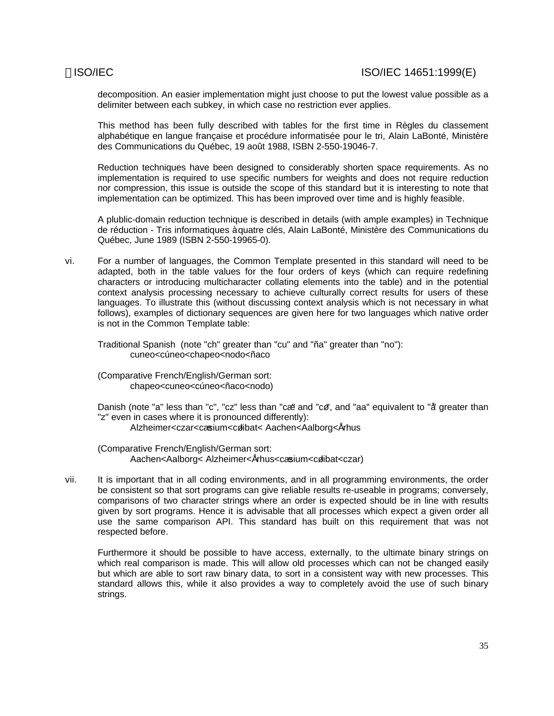decomposition. An easier implementation might just choose to put the lowest value possible as a delimiter between each subkey, in which case no restriction ever applies.

This method has been fully described with tables for the first time in Règles du classement alphabétique en langue française et procédure informatisée pour le tri, Alain LaBonté, Ministère des Communications du Québec, 19 août 1988, ISBN 2-550-19046-7.

Reduction techniques have been designed to considerably shorten space requirements. As no implementation is required to use specific numbers for weights and does not require reduction nor compression, this issue is outside the scope of this standard but it is interesting to note that implementation can be optimized. This has been improved over time and is highly feasible.

A plublic-domain reduction technique is described in details (with ample examples) in Technique de réduction - Tris informatiques à quatre clés, Alain LaBonté, Ministère des Communications du Québec, June 1989 (ISBN 2-550-19965-0).

vi. For a number of languages, the Common Template presented in this standard will need to be adapted, both in the table values for the four orders of keys (which can require redefining characters or introducing multicharacter collating elements into the table) and in the potential context analysis processing necessary to achieve culturally correct results for users of these languages. To illustrate this (without discussing context analysis which is not necessary in what follows), examples of dictionary sequences are given here for two languages which native order is not in the Common Template table:

Traditional Spanish (note "ch" greater than "cu" and "ña" greater than "no"): cuneo<cúneo<chapeo<nodo<ñaco

(Comparative French/English/German sort: chapeo<cuneo<cúneo<ñaco<nodo)

Danish (note "a" less than "c", "cz" less than "cæ" and "cø", and "aa" equivalent to "å greater than "z" even in cases where it is pronounced differently):

Alzheimer<czar<cæsium<cølibat< Aachen<Aalborg<Århus

(Comparative French/English/German sort: Aachen<Aalborg< Alzheimer<Århus<cæsium<cølibat<czar)

vii. It is important that in all coding environments, and in all programming environments, the order be consistent so that sort programs can give reliable results re-useable in programs; conversely, comparisons of two character strings where an order is expected should be in line with results given by sort programs. Hence it is advisable that all processes which expect a given order all use the same comparison API. This standard has built on this requirement that was not respected before.

Furthermore it should be possible to have access, externally, to the ultimate binary strings on which real comparison is made. This will allow old processes which can not be changed easily but which are able to sort raw binary data, to sort in a consistent way with new processes. This standard allows this, while it also provides a way to completely avoid the use of such binary strings.